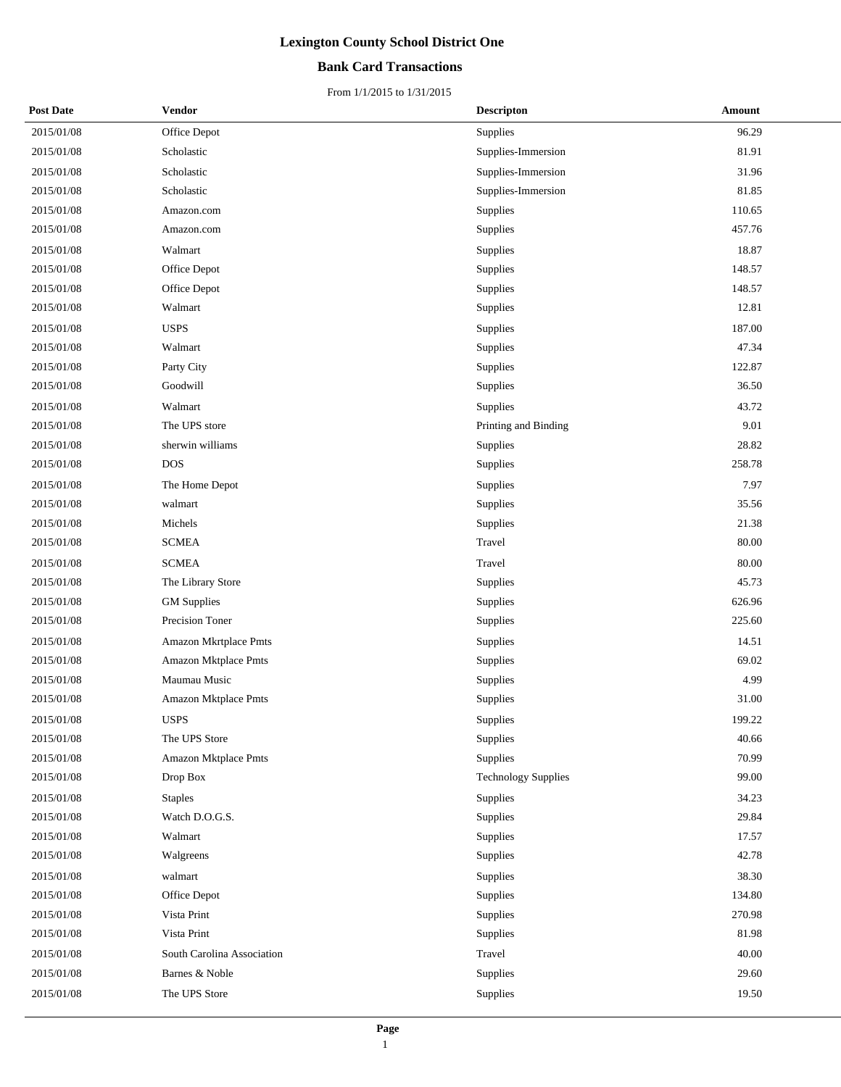## **Bank Card Transactions**

| <b>Post Date</b> | Vendor                     | <b>Descripton</b>          | Amount |
|------------------|----------------------------|----------------------------|--------|
| 2015/01/08       | Office Depot               | Supplies                   | 96.29  |
| 2015/01/08       | Scholastic                 | Supplies-Immersion         | 81.91  |
| 2015/01/08       | Scholastic                 | Supplies-Immersion         | 31.96  |
| 2015/01/08       | Scholastic                 | Supplies-Immersion         | 81.85  |
| 2015/01/08       | Amazon.com                 | Supplies                   | 110.65 |
| 2015/01/08       | Amazon.com                 | Supplies                   | 457.76 |
| 2015/01/08       | Walmart                    | Supplies                   | 18.87  |
| 2015/01/08       | Office Depot               | Supplies                   | 148.57 |
| 2015/01/08       | Office Depot               | Supplies                   | 148.57 |
| 2015/01/08       | Walmart                    | Supplies                   | 12.81  |
| 2015/01/08       | <b>USPS</b>                | Supplies                   | 187.00 |
| 2015/01/08       | Walmart                    | Supplies                   | 47.34  |
| 2015/01/08       | Party City                 | Supplies                   | 122.87 |
| 2015/01/08       | Goodwill                   | Supplies                   | 36.50  |
| 2015/01/08       | Walmart                    | Supplies                   | 43.72  |
| 2015/01/08       | The UPS store              | Printing and Binding       | 9.01   |
| 2015/01/08       | sherwin williams           | Supplies                   | 28.82  |
| 2015/01/08       | <b>DOS</b>                 | Supplies                   | 258.78 |
| 2015/01/08       | The Home Depot             | Supplies                   | 7.97   |
| 2015/01/08       | walmart                    | Supplies                   | 35.56  |
| 2015/01/08       | Michels                    | Supplies                   | 21.38  |
| 2015/01/08       | <b>SCMEA</b>               | Travel                     | 80.00  |
| 2015/01/08       | <b>SCMEA</b>               | Travel                     | 80.00  |
| 2015/01/08       | The Library Store          | Supplies                   | 45.73  |
| 2015/01/08       | <b>GM</b> Supplies         | Supplies                   | 626.96 |
| 2015/01/08       | Precision Toner            | Supplies                   | 225.60 |
| 2015/01/08       | Amazon Mkrtplace Pmts      | Supplies                   | 14.51  |
| 2015/01/08       | Amazon Mktplace Pmts       | Supplies                   | 69.02  |
| 2015/01/08       | Maumau Music               | Supplies                   | 4.99   |
| 2015/01/08       | Amazon Mktplace Pmts       | Supplies                   | 31.00  |
| 2015/01/08       | <b>USPS</b>                | Supplies                   | 199.22 |
| 2015/01/08       | The UPS Store              | Supplies                   | 40.66  |
| 2015/01/08       | Amazon Mktplace Pmts       | Supplies                   | 70.99  |
| 2015/01/08       | Drop Box                   | <b>Technology Supplies</b> | 99.00  |
| 2015/01/08       | <b>Staples</b>             | Supplies                   | 34.23  |
| 2015/01/08       | Watch D.O.G.S.             | Supplies                   | 29.84  |
| 2015/01/08       | Walmart                    | Supplies                   | 17.57  |
| 2015/01/08       | Walgreens                  | Supplies                   | 42.78  |
| 2015/01/08       | walmart                    | Supplies                   | 38.30  |
| 2015/01/08       | Office Depot               | Supplies                   | 134.80 |
| 2015/01/08       | Vista Print                | Supplies                   | 270.98 |
| 2015/01/08       | Vista Print                | Supplies                   | 81.98  |
| 2015/01/08       | South Carolina Association | Travel                     | 40.00  |
| 2015/01/08       | Barnes & Noble             | Supplies                   | 29.60  |
| 2015/01/08       | The UPS Store              | Supplies                   | 19.50  |
|                  |                            |                            |        |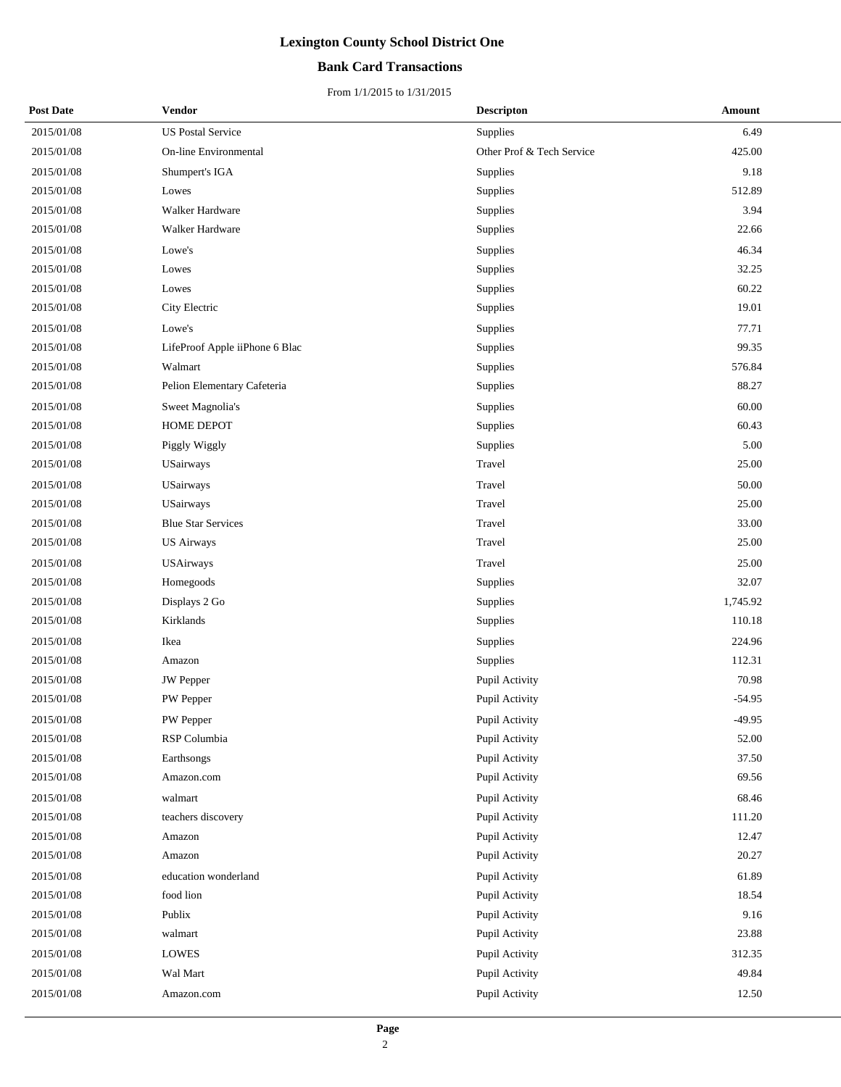## **Bank Card Transactions**

| <b>Post Date</b> | <b>Vendor</b>                  | <b>Descripton</b>         | Amount   |
|------------------|--------------------------------|---------------------------|----------|
| 2015/01/08       | <b>US Postal Service</b>       | Supplies                  | 6.49     |
| 2015/01/08       | On-line Environmental          | Other Prof & Tech Service | 425.00   |
| 2015/01/08       | Shumpert's IGA                 | Supplies                  | 9.18     |
| 2015/01/08       | Lowes                          | Supplies                  | 512.89   |
| 2015/01/08       | Walker Hardware                | Supplies                  | 3.94     |
| 2015/01/08       | Walker Hardware                | Supplies                  | 22.66    |
| 2015/01/08       | Lowe's                         | Supplies                  | 46.34    |
| 2015/01/08       | Lowes                          | Supplies                  | 32.25    |
| 2015/01/08       | Lowes                          | Supplies                  | 60.22    |
| 2015/01/08       | City Electric                  | Supplies                  | 19.01    |
| 2015/01/08       | Lowe's                         | Supplies                  | 77.71    |
| 2015/01/08       | LifeProof Apple iiPhone 6 Blac | Supplies                  | 99.35    |
| 2015/01/08       | Walmart                        | Supplies                  | 576.84   |
| 2015/01/08       | Pelion Elementary Cafeteria    | Supplies                  | 88.27    |
| 2015/01/08       | Sweet Magnolia's               | Supplies                  | 60.00    |
| 2015/01/08       | HOME DEPOT                     | Supplies                  | 60.43    |
| 2015/01/08       | Piggly Wiggly                  | Supplies                  | 5.00     |
| 2015/01/08       | USairways                      | Travel                    | 25.00    |
| 2015/01/08       | USairways                      | Travel                    | 50.00    |
| 2015/01/08       | USairways                      | Travel                    | 25.00    |
| 2015/01/08       | <b>Blue Star Services</b>      | Travel                    | 33.00    |
| 2015/01/08       | <b>US Airways</b>              | Travel                    | 25.00    |
| 2015/01/08       | <b>USAirways</b>               | Travel                    | 25.00    |
| 2015/01/08       | Homegoods                      | Supplies                  | 32.07    |
| 2015/01/08       | Displays 2 Go                  | Supplies                  | 1,745.92 |
| 2015/01/08       | Kirklands                      | Supplies                  | 110.18   |
| 2015/01/08       | Ikea                           | Supplies                  | 224.96   |
| 2015/01/08       | Amazon                         | Supplies                  | 112.31   |
| 2015/01/08       | <b>JW</b> Pepper               | Pupil Activity            | 70.98    |
| 2015/01/08       | PW Pepper                      | Pupil Activity            | $-54.95$ |
| 2015/01/08       | PW Pepper                      | Pupil Activity            | $-49.95$ |
| 2015/01/08       | RSP Columbia                   | Pupil Activity            | 52.00    |
| 2015/01/08       | Earthsongs                     | Pupil Activity            | 37.50    |
| 2015/01/08       | Amazon.com                     | Pupil Activity            | 69.56    |
| 2015/01/08       | walmart                        | Pupil Activity            | 68.46    |
| 2015/01/08       | teachers discovery             | Pupil Activity            | 111.20   |
| 2015/01/08       | Amazon                         | Pupil Activity            | 12.47    |
| 2015/01/08       | Amazon                         | Pupil Activity            | 20.27    |
| 2015/01/08       | education wonderland           | Pupil Activity            | 61.89    |
| 2015/01/08       | food lion                      | Pupil Activity            | 18.54    |
| 2015/01/08       | Publix                         | Pupil Activity            | 9.16     |
| 2015/01/08       | walmart                        | Pupil Activity            | 23.88    |
| 2015/01/08       | LOWES                          | Pupil Activity            | 312.35   |
| 2015/01/08       | Wal Mart                       | Pupil Activity            | 49.84    |
| 2015/01/08       | Amazon.com                     | Pupil Activity            | 12.50    |
|                  |                                |                           |          |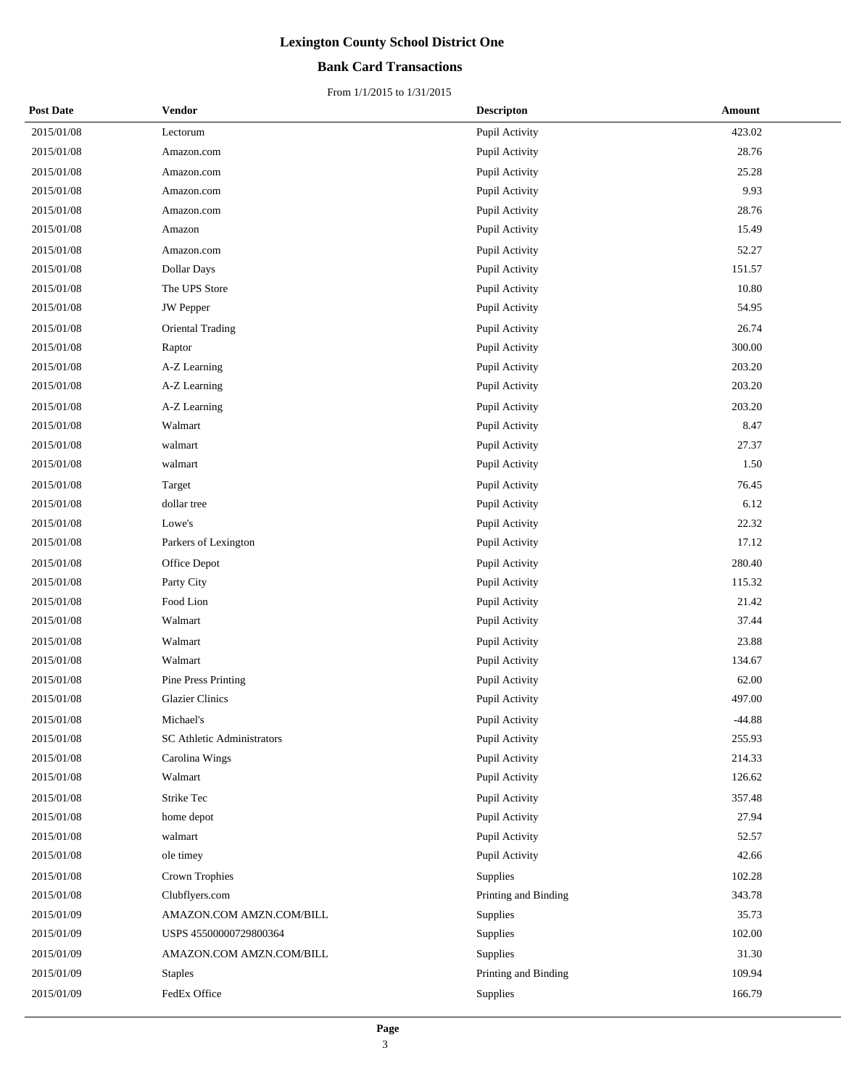## **Bank Card Transactions**

| <b>Post Date</b> | Vendor                            | <b>Descripton</b>    | Amount   |
|------------------|-----------------------------------|----------------------|----------|
| 2015/01/08       | Lectorum                          | Pupil Activity       | 423.02   |
| 2015/01/08       | Amazon.com                        | Pupil Activity       | 28.76    |
| 2015/01/08       | Amazon.com                        | Pupil Activity       | 25.28    |
| 2015/01/08       | Amazon.com                        | Pupil Activity       | 9.93     |
| 2015/01/08       | Amazon.com                        | Pupil Activity       | 28.76    |
| 2015/01/08       | Amazon                            | Pupil Activity       | 15.49    |
| 2015/01/08       | Amazon.com                        | Pupil Activity       | 52.27    |
| 2015/01/08       | <b>Dollar Days</b>                | Pupil Activity       | 151.57   |
| 2015/01/08       | The UPS Store                     | Pupil Activity       | 10.80    |
| 2015/01/08       | <b>JW</b> Pepper                  | Pupil Activity       | 54.95    |
| 2015/01/08       | Oriental Trading                  | Pupil Activity       | 26.74    |
| 2015/01/08       | Raptor                            | Pupil Activity       | 300.00   |
| 2015/01/08       | A-Z Learning                      | Pupil Activity       | 203.20   |
| 2015/01/08       | A-Z Learning                      | Pupil Activity       | 203.20   |
| 2015/01/08       | A-Z Learning                      | Pupil Activity       | 203.20   |
| 2015/01/08       | Walmart                           | Pupil Activity       | 8.47     |
| 2015/01/08       | walmart                           | Pupil Activity       | 27.37    |
| 2015/01/08       | walmart                           | Pupil Activity       | 1.50     |
| 2015/01/08       | Target                            | Pupil Activity       | 76.45    |
| 2015/01/08       | dollar tree                       | Pupil Activity       | 6.12     |
| 2015/01/08       | Lowe's                            | Pupil Activity       | 22.32    |
| 2015/01/08       | Parkers of Lexington              | Pupil Activity       | 17.12    |
| 2015/01/08       | Office Depot                      | Pupil Activity       | 280.40   |
| 2015/01/08       | Party City                        | Pupil Activity       | 115.32   |
| 2015/01/08       | Food Lion                         | Pupil Activity       | 21.42    |
| 2015/01/08       | Walmart                           | Pupil Activity       | 37.44    |
| 2015/01/08       | Walmart                           | Pupil Activity       | 23.88    |
| 2015/01/08       | Walmart                           | Pupil Activity       | 134.67   |
| 2015/01/08       | Pine Press Printing               | Pupil Activity       | 62.00    |
| 2015/01/08       | <b>Glazier Clinics</b>            | Pupil Activity       | 497.00   |
| 2015/01/08       | Michael's                         | Pupil Activity       | $-44.88$ |
| 2015/01/08       | <b>SC Athletic Administrators</b> | Pupil Activity       | 255.93   |
| 2015/01/08       | Carolina Wings                    | Pupil Activity       | 214.33   |
| 2015/01/08       | Walmart                           | Pupil Activity       | 126.62   |
| 2015/01/08       | Strike Tec                        | Pupil Activity       | 357.48   |
| 2015/01/08       | home depot                        | Pupil Activity       | 27.94    |
| 2015/01/08       | walmart                           | Pupil Activity       | 52.57    |
| 2015/01/08       | ole timey                         | Pupil Activity       | 42.66    |
| 2015/01/08       | Crown Trophies                    | Supplies             | 102.28   |
| 2015/01/08       | Clubflyers.com                    | Printing and Binding | 343.78   |
| 2015/01/09       | AMAZON.COM AMZN.COM/BILL          | Supplies             | 35.73    |
| 2015/01/09       | USPS 45500000729800364            | Supplies             | 102.00   |
| 2015/01/09       | AMAZON.COM AMZN.COM/BILL          | Supplies             | 31.30    |
| 2015/01/09       | <b>Staples</b>                    | Printing and Binding | 109.94   |
| 2015/01/09       | FedEx Office                      | Supplies             | 166.79   |
|                  |                                   |                      |          |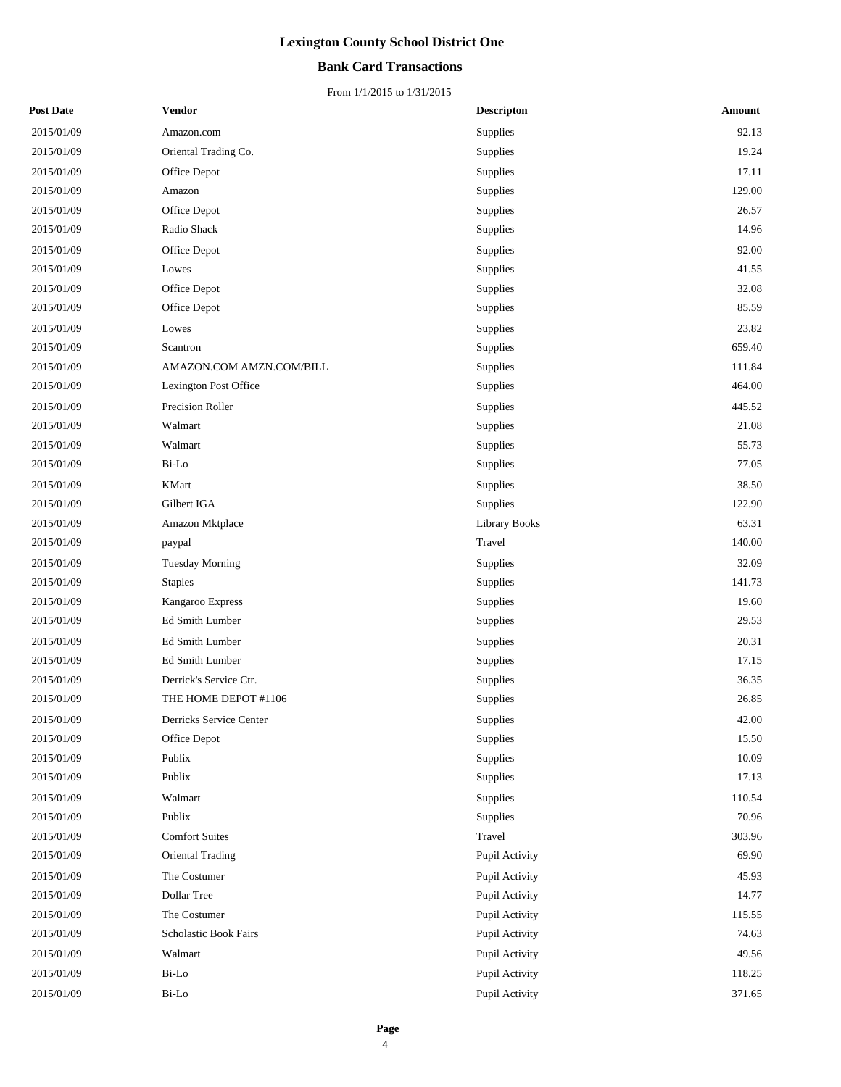## **Bank Card Transactions**

| <b>Post Date</b> | Vendor                   | <b>Descripton</b> | Amount |
|------------------|--------------------------|-------------------|--------|
| 2015/01/09       | Amazon.com               | Supplies          | 92.13  |
| 2015/01/09       | Oriental Trading Co.     | Supplies          | 19.24  |
| 2015/01/09       | Office Depot             | Supplies          | 17.11  |
| 2015/01/09       | Amazon                   | Supplies          | 129.00 |
| 2015/01/09       | Office Depot             | Supplies          | 26.57  |
| 2015/01/09       | Radio Shack              | Supplies          | 14.96  |
| 2015/01/09       | Office Depot             | Supplies          | 92.00  |
| 2015/01/09       | Lowes                    | Supplies          | 41.55  |
| 2015/01/09       | Office Depot             | Supplies          | 32.08  |
| 2015/01/09       | Office Depot             | Supplies          | 85.59  |
| 2015/01/09       | Lowes                    | Supplies          | 23.82  |
| 2015/01/09       | Scantron                 | Supplies          | 659.40 |
| 2015/01/09       | AMAZON.COM AMZN.COM/BILL | Supplies          | 111.84 |
| 2015/01/09       | Lexington Post Office    | Supplies          | 464.00 |
| 2015/01/09       | Precision Roller         | Supplies          | 445.52 |
| 2015/01/09       | Walmart                  | Supplies          | 21.08  |
| 2015/01/09       | Walmart                  | Supplies          | 55.73  |
| 2015/01/09       | Bi-Lo                    | Supplies          | 77.05  |
| 2015/01/09       | <b>KMart</b>             | Supplies          | 38.50  |
| 2015/01/09       | Gilbert IGA              | Supplies          | 122.90 |
| 2015/01/09       | Amazon Mktplace          | Library Books     | 63.31  |
| 2015/01/09       | paypal                   | Travel            | 140.00 |
| 2015/01/09       | Tuesday Morning          | Supplies          | 32.09  |
| 2015/01/09       | <b>Staples</b>           | Supplies          | 141.73 |
| 2015/01/09       | Kangaroo Express         | Supplies          | 19.60  |
| 2015/01/09       | Ed Smith Lumber          | Supplies          | 29.53  |
| 2015/01/09       | Ed Smith Lumber          | Supplies          | 20.31  |
| 2015/01/09       | Ed Smith Lumber          | Supplies          | 17.15  |
| 2015/01/09       | Derrick's Service Ctr.   | Supplies          | 36.35  |
| 2015/01/09       | THE HOME DEPOT #1106     | Supplies          | 26.85  |
| 2015/01/09       | Derricks Service Center  | Supplies          | 42.00  |
| 2015/01/09       | Office Depot             | Supplies          | 15.50  |
| 2015/01/09       | Publix                   | Supplies          | 10.09  |
| 2015/01/09       | Publix                   | Supplies          | 17.13  |
| 2015/01/09       | Walmart                  | Supplies          | 110.54 |
| 2015/01/09       | Publix                   | Supplies          | 70.96  |
| 2015/01/09       | <b>Comfort Suites</b>    | Travel            | 303.96 |
| 2015/01/09       | Oriental Trading         | Pupil Activity    | 69.90  |
| 2015/01/09       | The Costumer             | Pupil Activity    | 45.93  |
| 2015/01/09       | Dollar Tree              | Pupil Activity    | 14.77  |
| 2015/01/09       | The Costumer             | Pupil Activity    | 115.55 |
| 2015/01/09       | Scholastic Book Fairs    | Pupil Activity    | 74.63  |
| 2015/01/09       | Walmart                  | Pupil Activity    | 49.56  |
| 2015/01/09       | Bi-Lo                    | Pupil Activity    | 118.25 |
| 2015/01/09       | Bi-Lo                    | Pupil Activity    | 371.65 |
|                  |                          |                   |        |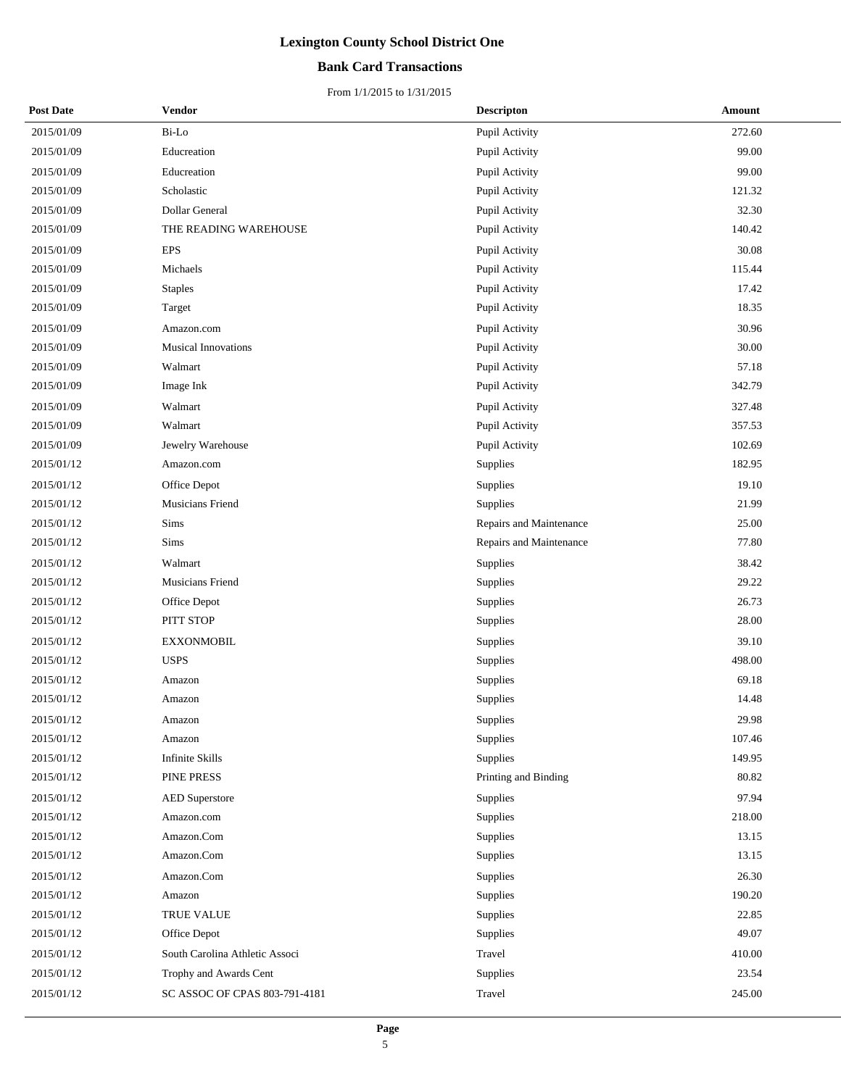## **Bank Card Transactions**

| <b>Post Date</b> | <b>Vendor</b>                  | <b>Descripton</b>       | Amount |
|------------------|--------------------------------|-------------------------|--------|
| 2015/01/09       | Bi-Lo                          | Pupil Activity          | 272.60 |
| 2015/01/09       | Educreation                    | Pupil Activity          | 99.00  |
| 2015/01/09       | Educreation                    | Pupil Activity          | 99.00  |
| 2015/01/09       | Scholastic                     | Pupil Activity          | 121.32 |
| 2015/01/09       | Dollar General                 | Pupil Activity          | 32.30  |
| 2015/01/09       | THE READING WAREHOUSE          | Pupil Activity          | 140.42 |
| 2015/01/09       | <b>EPS</b>                     | Pupil Activity          | 30.08  |
| 2015/01/09       | Michaels                       | Pupil Activity          | 115.44 |
| 2015/01/09       | <b>Staples</b>                 | Pupil Activity          | 17.42  |
| 2015/01/09       | Target                         | Pupil Activity          | 18.35  |
| 2015/01/09       | Amazon.com                     | Pupil Activity          | 30.96  |
| 2015/01/09       | <b>Musical Innovations</b>     | Pupil Activity          | 30.00  |
| 2015/01/09       | Walmart                        | Pupil Activity          | 57.18  |
| 2015/01/09       | Image Ink                      | Pupil Activity          | 342.79 |
| 2015/01/09       | Walmart                        | Pupil Activity          | 327.48 |
| 2015/01/09       | Walmart                        | Pupil Activity          | 357.53 |
| 2015/01/09       | Jewelry Warehouse              | Pupil Activity          | 102.69 |
| 2015/01/12       | Amazon.com                     | Supplies                | 182.95 |
| 2015/01/12       | Office Depot                   | Supplies                | 19.10  |
| 2015/01/12       | Musicians Friend               | Supplies                | 21.99  |
| 2015/01/12       | Sims                           | Repairs and Maintenance | 25.00  |
| 2015/01/12       | Sims                           | Repairs and Maintenance | 77.80  |
| 2015/01/12       | Walmart                        | Supplies                | 38.42  |
| 2015/01/12       | Musicians Friend               | Supplies                | 29.22  |
| 2015/01/12       | Office Depot                   | Supplies                | 26.73  |
| 2015/01/12       | PITT STOP                      | Supplies                | 28.00  |
| 2015/01/12       | <b>EXXONMOBIL</b>              | Supplies                | 39.10  |
| 2015/01/12       | <b>USPS</b>                    | Supplies                | 498.00 |
| 2015/01/12       | Amazon                         | Supplies                | 69.18  |
| 2015/01/12       | Amazon                         | Supplies                | 14.48  |
| 2015/01/12       | Amazon                         | Supplies                | 29.98  |
| 2015/01/12       | Amazon                         | Supplies                | 107.46 |
| 2015/01/12       | <b>Infinite Skills</b>         | Supplies                | 149.95 |
| 2015/01/12       | PINE PRESS                     | Printing and Binding    | 80.82  |
| 2015/01/12       | <b>AED</b> Superstore          | Supplies                | 97.94  |
| 2015/01/12       | Amazon.com                     | Supplies                | 218.00 |
| 2015/01/12       | Amazon.Com                     | Supplies                | 13.15  |
| 2015/01/12       | Amazon.Com                     | Supplies                | 13.15  |
| 2015/01/12       | Amazon.Com                     | Supplies                | 26.30  |
| 2015/01/12       | Amazon                         | Supplies                | 190.20 |
| 2015/01/12       | TRUE VALUE                     | Supplies                | 22.85  |
| 2015/01/12       | Office Depot                   | Supplies                | 49.07  |
| 2015/01/12       | South Carolina Athletic Associ | Travel                  | 410.00 |
| 2015/01/12       | Trophy and Awards Cent         | Supplies                | 23.54  |
| 2015/01/12       | SC ASSOC OF CPAS 803-791-4181  | Travel                  | 245.00 |
|                  |                                |                         |        |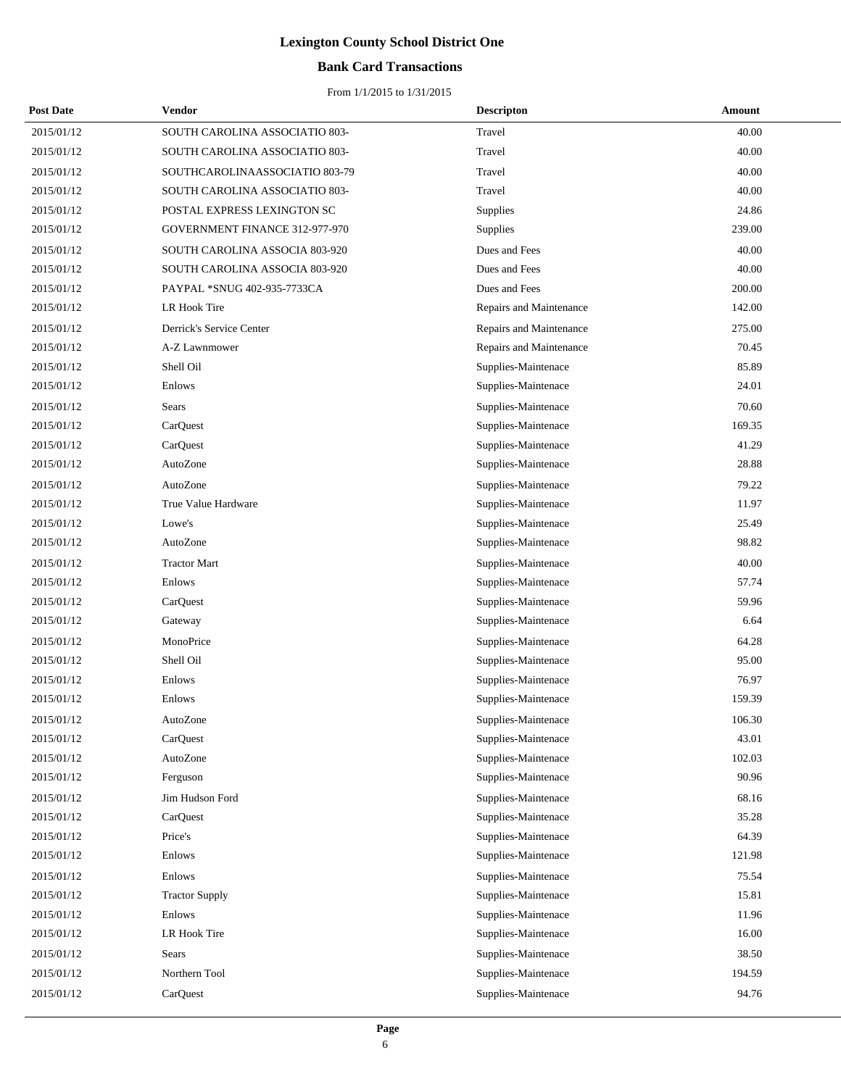## **Bank Card Transactions**

| <b>Post Date</b> | Vendor                         | <b>Descripton</b>       | Amount |
|------------------|--------------------------------|-------------------------|--------|
| 2015/01/12       | SOUTH CAROLINA ASSOCIATIO 803- | Travel                  | 40.00  |
| 2015/01/12       | SOUTH CAROLINA ASSOCIATIO 803- | Travel                  | 40.00  |
| 2015/01/12       | SOUTHCAROLINAASSOCIATIO 803-79 | Travel                  | 40.00  |
| 2015/01/12       | SOUTH CAROLINA ASSOCIATIO 803- | Travel                  | 40.00  |
| 2015/01/12       | POSTAL EXPRESS LEXINGTON SC    | Supplies                | 24.86  |
| 2015/01/12       | GOVERNMENT FINANCE 312-977-970 | Supplies                | 239.00 |
| 2015/01/12       | SOUTH CAROLINA ASSOCIA 803-920 | Dues and Fees           | 40.00  |
| 2015/01/12       | SOUTH CAROLINA ASSOCIA 803-920 | Dues and Fees           | 40.00  |
| 2015/01/12       | PAYPAL *SNUG 402-935-7733CA    | Dues and Fees           | 200.00 |
| 2015/01/12       | LR Hook Tire                   | Repairs and Maintenance | 142.00 |
| 2015/01/12       | Derrick's Service Center       | Repairs and Maintenance | 275.00 |
| 2015/01/12       | A-Z Lawnmower                  | Repairs and Maintenance | 70.45  |
| 2015/01/12       | Shell Oil                      | Supplies-Maintenace     | 85.89  |
| 2015/01/12       | Enlows                         | Supplies-Maintenace     | 24.01  |
| 2015/01/12       | Sears                          | Supplies-Maintenace     | 70.60  |
| 2015/01/12       | CarQuest                       | Supplies-Maintenace     | 169.35 |
| 2015/01/12       | CarQuest                       | Supplies-Maintenace     | 41.29  |
| 2015/01/12       | AutoZone                       | Supplies-Maintenace     | 28.88  |
| 2015/01/12       | AutoZone                       | Supplies-Maintenace     | 79.22  |
| 2015/01/12       | True Value Hardware            | Supplies-Maintenace     | 11.97  |
| 2015/01/12       | Lowe's                         | Supplies-Maintenace     | 25.49  |
| 2015/01/12       | AutoZone                       | Supplies-Maintenace     | 98.82  |
| 2015/01/12       | <b>Tractor Mart</b>            | Supplies-Maintenace     | 40.00  |
| 2015/01/12       | Enlows                         | Supplies-Maintenace     | 57.74  |
| 2015/01/12       | CarQuest                       | Supplies-Maintenace     | 59.96  |
| 2015/01/12       | Gateway                        | Supplies-Maintenace     | 6.64   |
| 2015/01/12       | MonoPrice                      | Supplies-Maintenace     | 64.28  |
| 2015/01/12       | Shell Oil                      | Supplies-Maintenace     | 95.00  |
| 2015/01/12       | Enlows                         | Supplies-Maintenace     | 76.97  |
| 2015/01/12       | Enlows                         | Supplies-Maintenace     | 159.39 |
| 2015/01/12       | AutoZone                       | Supplies-Maintenace     | 106.30 |
| 2015/01/12       | CarQuest                       | Supplies-Maintenace     | 43.01  |
| 2015/01/12       | AutoZone                       | Supplies-Maintenace     | 102.03 |
| 2015/01/12       | Ferguson                       | Supplies-Maintenace     | 90.96  |
| 2015/01/12       | Jim Hudson Ford                | Supplies-Maintenace     | 68.16  |
| 2015/01/12       | CarQuest                       | Supplies-Maintenace     | 35.28  |
| 2015/01/12       | Price's                        | Supplies-Maintenace     | 64.39  |
| 2015/01/12       | Enlows                         | Supplies-Maintenace     | 121.98 |
| 2015/01/12       | Enlows                         | Supplies-Maintenace     | 75.54  |
| 2015/01/12       | <b>Tractor Supply</b>          | Supplies-Maintenace     | 15.81  |
| 2015/01/12       | Enlows                         | Supplies-Maintenace     | 11.96  |
| 2015/01/12       | LR Hook Tire                   | Supplies-Maintenace     | 16.00  |
| 2015/01/12       | Sears                          | Supplies-Maintenace     | 38.50  |
| 2015/01/12       | Northern Tool                  | Supplies-Maintenace     | 194.59 |
| 2015/01/12       | CarQuest                       | Supplies-Maintenace     | 94.76  |
|                  |                                |                         |        |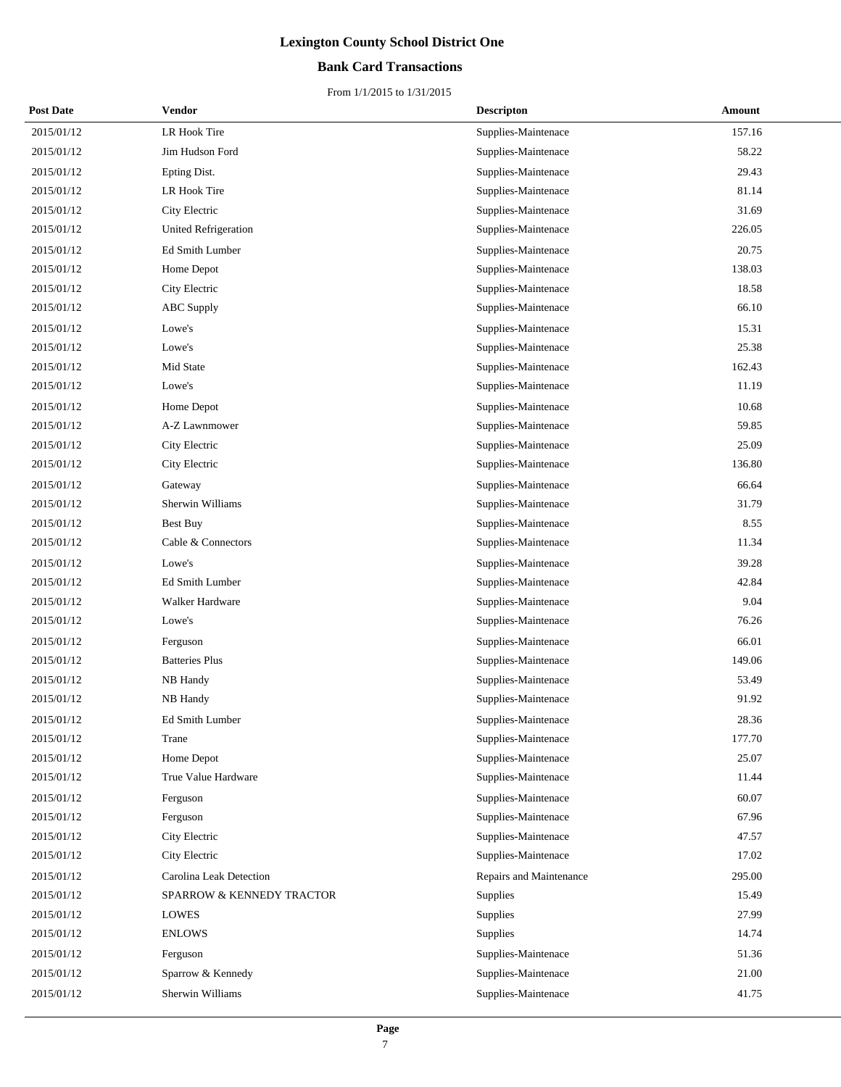## **Bank Card Transactions**

| <b>Post Date</b> | Vendor                      | <b>Descripton</b>       | Amount |
|------------------|-----------------------------|-------------------------|--------|
| 2015/01/12       | LR Hook Tire                | Supplies-Maintenace     | 157.16 |
| 2015/01/12       | Jim Hudson Ford             | Supplies-Maintenace     | 58.22  |
| 2015/01/12       | Epting Dist.                | Supplies-Maintenace     | 29.43  |
| 2015/01/12       | LR Hook Tire                | Supplies-Maintenace     | 81.14  |
| 2015/01/12       | City Electric               | Supplies-Maintenace     | 31.69  |
| 2015/01/12       | <b>United Refrigeration</b> | Supplies-Maintenace     | 226.05 |
| 2015/01/12       | Ed Smith Lumber             | Supplies-Maintenace     | 20.75  |
| 2015/01/12       | Home Depot                  | Supplies-Maintenace     | 138.03 |
| 2015/01/12       | City Electric               | Supplies-Maintenace     | 18.58  |
| 2015/01/12       | <b>ABC</b> Supply           | Supplies-Maintenace     | 66.10  |
| 2015/01/12       | Lowe's                      | Supplies-Maintenace     | 15.31  |
| 2015/01/12       | Lowe's                      | Supplies-Maintenace     | 25.38  |
| 2015/01/12       | Mid State                   | Supplies-Maintenace     | 162.43 |
| 2015/01/12       | Lowe's                      | Supplies-Maintenace     | 11.19  |
| 2015/01/12       | Home Depot                  | Supplies-Maintenace     | 10.68  |
| 2015/01/12       | A-Z Lawnmower               | Supplies-Maintenace     | 59.85  |
| 2015/01/12       | City Electric               | Supplies-Maintenace     | 25.09  |
| 2015/01/12       | City Electric               | Supplies-Maintenace     | 136.80 |
| 2015/01/12       | Gateway                     | Supplies-Maintenace     | 66.64  |
| 2015/01/12       | Sherwin Williams            | Supplies-Maintenace     | 31.79  |
| 2015/01/12       | Best Buy                    | Supplies-Maintenace     | 8.55   |
| 2015/01/12       | Cable & Connectors          | Supplies-Maintenace     | 11.34  |
| 2015/01/12       | Lowe's                      | Supplies-Maintenace     | 39.28  |
| 2015/01/12       | Ed Smith Lumber             | Supplies-Maintenace     | 42.84  |
| 2015/01/12       | Walker Hardware             | Supplies-Maintenace     | 9.04   |
| 2015/01/12       | Lowe's                      | Supplies-Maintenace     | 76.26  |
| 2015/01/12       | Ferguson                    | Supplies-Maintenace     | 66.01  |
| 2015/01/12       | <b>Batteries Plus</b>       | Supplies-Maintenace     | 149.06 |
| 2015/01/12       | NB Handy                    | Supplies-Maintenace     | 53.49  |
| 2015/01/12       | NB Handy                    | Supplies-Maintenace     | 91.92  |
| 2015/01/12       | Ed Smith Lumber             | Supplies-Maintenace     | 28.36  |
| 2015/01/12       | Trane                       | Supplies-Maintenace     | 177.70 |
| 2015/01/12       | Home Depot                  | Supplies-Maintenace     | 25.07  |
| 2015/01/12       | True Value Hardware         | Supplies-Maintenace     | 11.44  |
| 2015/01/12       | Ferguson                    | Supplies-Maintenace     | 60.07  |
| 2015/01/12       | Ferguson                    | Supplies-Maintenace     | 67.96  |
| 2015/01/12       | City Electric               | Supplies-Maintenace     | 47.57  |
| 2015/01/12       | City Electric               | Supplies-Maintenace     | 17.02  |
| 2015/01/12       | Carolina Leak Detection     | Repairs and Maintenance | 295.00 |
| 2015/01/12       | SPARROW & KENNEDY TRACTOR   | Supplies                | 15.49  |
| 2015/01/12       | LOWES                       | Supplies                | 27.99  |
| 2015/01/12       | <b>ENLOWS</b>               | Supplies                | 14.74  |
| 2015/01/12       | Ferguson                    | Supplies-Maintenace     | 51.36  |
| 2015/01/12       | Sparrow & Kennedy           | Supplies-Maintenace     | 21.00  |
| 2015/01/12       | Sherwin Williams            | Supplies-Maintenace     | 41.75  |
|                  |                             |                         |        |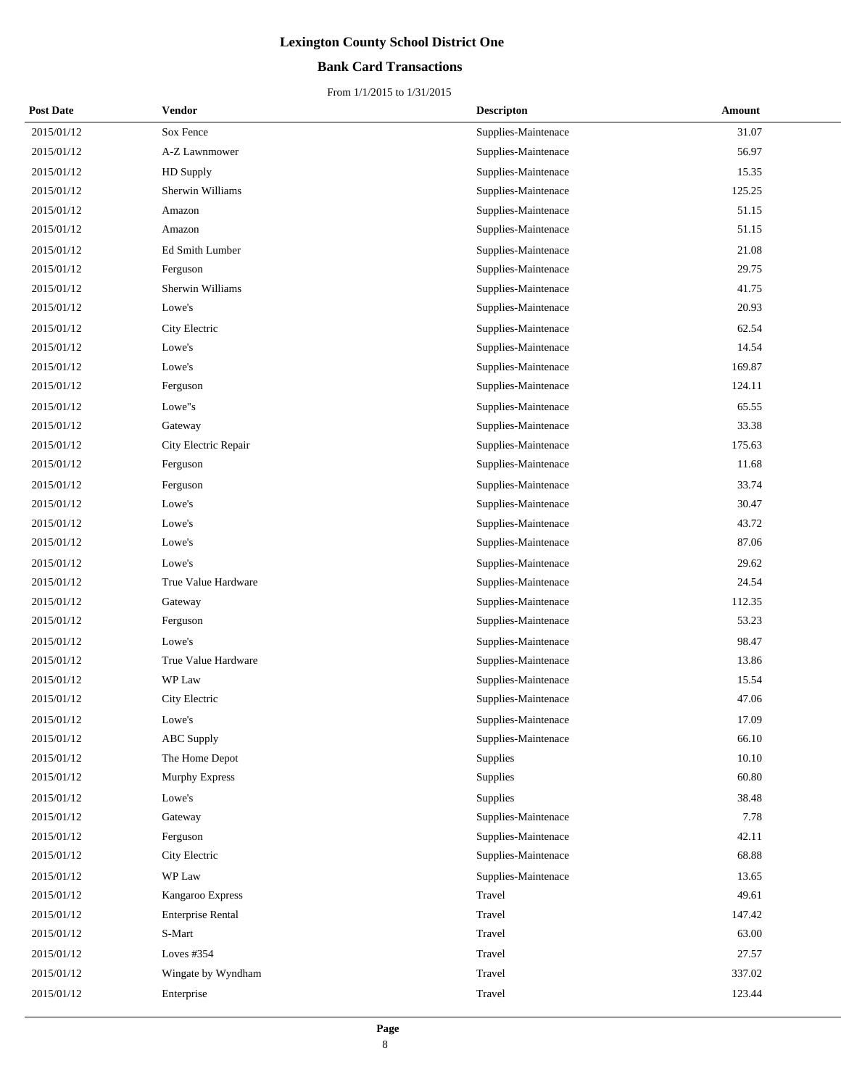## **Bank Card Transactions**

| <b>Post Date</b> | Vendor                   | <b>Descripton</b>   | Amount |
|------------------|--------------------------|---------------------|--------|
| 2015/01/12       | Sox Fence                | Supplies-Maintenace | 31.07  |
| 2015/01/12       | A-Z Lawnmower            | Supplies-Maintenace | 56.97  |
| 2015/01/12       | HD Supply                | Supplies-Maintenace | 15.35  |
| 2015/01/12       | Sherwin Williams         | Supplies-Maintenace | 125.25 |
| 2015/01/12       | Amazon                   | Supplies-Maintenace | 51.15  |
| 2015/01/12       | Amazon                   | Supplies-Maintenace | 51.15  |
| 2015/01/12       | Ed Smith Lumber          | Supplies-Maintenace | 21.08  |
| 2015/01/12       | Ferguson                 | Supplies-Maintenace | 29.75  |
| 2015/01/12       | Sherwin Williams         | Supplies-Maintenace | 41.75  |
| 2015/01/12       | Lowe's                   | Supplies-Maintenace | 20.93  |
| 2015/01/12       | City Electric            | Supplies-Maintenace | 62.54  |
| 2015/01/12       | Lowe's                   | Supplies-Maintenace | 14.54  |
| 2015/01/12       | Lowe's                   | Supplies-Maintenace | 169.87 |
| 2015/01/12       | Ferguson                 | Supplies-Maintenace | 124.11 |
| 2015/01/12       | Lowe"s                   | Supplies-Maintenace | 65.55  |
| 2015/01/12       | Gateway                  | Supplies-Maintenace | 33.38  |
| 2015/01/12       | City Electric Repair     | Supplies-Maintenace | 175.63 |
| 2015/01/12       | Ferguson                 | Supplies-Maintenace | 11.68  |
| 2015/01/12       | Ferguson                 | Supplies-Maintenace | 33.74  |
| 2015/01/12       | Lowe's                   | Supplies-Maintenace | 30.47  |
| 2015/01/12       | Lowe's                   | Supplies-Maintenace | 43.72  |
| 2015/01/12       | Lowe's                   | Supplies-Maintenace | 87.06  |
| 2015/01/12       | Lowe's                   | Supplies-Maintenace | 29.62  |
| 2015/01/12       | True Value Hardware      | Supplies-Maintenace | 24.54  |
| 2015/01/12       | Gateway                  | Supplies-Maintenace | 112.35 |
| 2015/01/12       | Ferguson                 | Supplies-Maintenace | 53.23  |
| 2015/01/12       | Lowe's                   | Supplies-Maintenace | 98.47  |
| 2015/01/12       | True Value Hardware      | Supplies-Maintenace | 13.86  |
| 2015/01/12       | WP Law                   | Supplies-Maintenace | 15.54  |
| 2015/01/12       | City Electric            | Supplies-Maintenace | 47.06  |
| 2015/01/12       | Lowe's                   | Supplies-Maintenace | 17.09  |
| 2015/01/12       | <b>ABC</b> Supply        | Supplies-Maintenace | 66.10  |
| 2015/01/12       | The Home Depot           | Supplies            | 10.10  |
| 2015/01/12       | <b>Murphy Express</b>    | Supplies            | 60.80  |
| 2015/01/12       | Lowe's                   | Supplies            | 38.48  |
| 2015/01/12       | Gateway                  | Supplies-Maintenace | 7.78   |
| 2015/01/12       | Ferguson                 | Supplies-Maintenace | 42.11  |
| 2015/01/12       | City Electric            | Supplies-Maintenace | 68.88  |
| 2015/01/12       | WP Law                   | Supplies-Maintenace | 13.65  |
| 2015/01/12       | Kangaroo Express         | Travel              | 49.61  |
| 2015/01/12       | <b>Enterprise Rental</b> | Travel              | 147.42 |
| 2015/01/12       | S-Mart                   | Travel              | 63.00  |
| 2015/01/12       | Loves $#354$             | Travel              | 27.57  |
| 2015/01/12       | Wingate by Wyndham       | Travel              | 337.02 |
| 2015/01/12       | Enterprise               | Travel              | 123.44 |
|                  |                          |                     |        |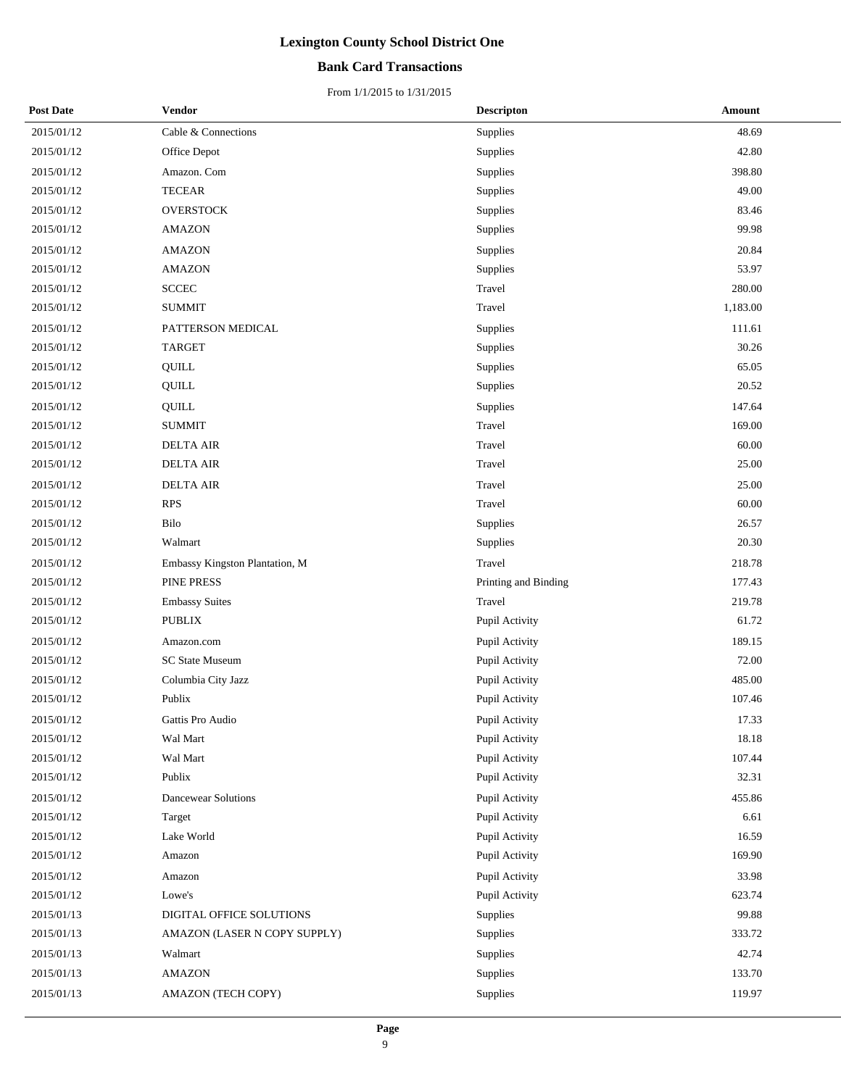## **Bank Card Transactions**

| <b>Post Date</b> | Vendor                         | <b>Descripton</b>    | Amount   |
|------------------|--------------------------------|----------------------|----------|
| 2015/01/12       | Cable & Connections            | Supplies             | 48.69    |
| 2015/01/12       | Office Depot                   | Supplies             | 42.80    |
| 2015/01/12       | Amazon. Com                    | Supplies             | 398.80   |
| 2015/01/12       | <b>TECEAR</b>                  | Supplies             | 49.00    |
| 2015/01/12       | <b>OVERSTOCK</b>               | Supplies             | 83.46    |
| 2015/01/12       | <b>AMAZON</b>                  | Supplies             | 99.98    |
| 2015/01/12       | <b>AMAZON</b>                  | Supplies             | 20.84    |
| 2015/01/12       | <b>AMAZON</b>                  | Supplies             | 53.97    |
| 2015/01/12       | <b>SCCEC</b>                   | Travel               | 280.00   |
| 2015/01/12       | <b>SUMMIT</b>                  | Travel               | 1,183.00 |
| 2015/01/12       | PATTERSON MEDICAL              | Supplies             | 111.61   |
| 2015/01/12       | <b>TARGET</b>                  | Supplies             | 30.26    |
| 2015/01/12       | QUILL                          | Supplies             | 65.05    |
| 2015/01/12       | QUILL                          | Supplies             | 20.52    |
| 2015/01/12       | QUILL                          | Supplies             | 147.64   |
| 2015/01/12       | <b>SUMMIT</b>                  | Travel               | 169.00   |
| 2015/01/12       | <b>DELTA AIR</b>               | Travel               | 60.00    |
| 2015/01/12       | <b>DELTA AIR</b>               | Travel               | 25.00    |
| 2015/01/12       | <b>DELTA AIR</b>               | Travel               | 25.00    |
| 2015/01/12       | <b>RPS</b>                     | Travel               | 60.00    |
| 2015/01/12       | Bilo                           | Supplies             | 26.57    |
| 2015/01/12       | Walmart                        | Supplies             | 20.30    |
| 2015/01/12       | Embassy Kingston Plantation, M | Travel               | 218.78   |
| 2015/01/12       | PINE PRESS                     | Printing and Binding | 177.43   |
| 2015/01/12       | <b>Embassy Suites</b>          | Travel               | 219.78   |
| 2015/01/12       | <b>PUBLIX</b>                  | Pupil Activity       | 61.72    |
| 2015/01/12       | Amazon.com                     | Pupil Activity       | 189.15   |
| 2015/01/12       | SC State Museum                | Pupil Activity       | 72.00    |
| 2015/01/12       | Columbia City Jazz             | Pupil Activity       | 485.00   |
| 2015/01/12       | Publix                         | Pupil Activity       | 107.46   |
| 2015/01/12       | Gattis Pro Audio               | Pupil Activity       | 17.33    |
| 2015/01/12       | Wal Mart                       | Pupil Activity       | 18.18    |
| 2015/01/12       | Wal Mart                       | Pupil Activity       | 107.44   |
| 2015/01/12       | Publix                         | Pupil Activity       | 32.31    |
| 2015/01/12       | <b>Dancewear Solutions</b>     | Pupil Activity       | 455.86   |
| 2015/01/12       | Target                         | Pupil Activity       | 6.61     |
| 2015/01/12       | Lake World                     | Pupil Activity       | 16.59    |
| 2015/01/12       | Amazon                         | Pupil Activity       | 169.90   |
| 2015/01/12       | Amazon                         | Pupil Activity       | 33.98    |
| 2015/01/12       | Lowe's                         | Pupil Activity       | 623.74   |
| 2015/01/13       | DIGITAL OFFICE SOLUTIONS       | Supplies             | 99.88    |
| 2015/01/13       | AMAZON (LASER N COPY SUPPLY)   | Supplies             | 333.72   |
| 2015/01/13       | Walmart                        | Supplies             | 42.74    |
| 2015/01/13       | <b>AMAZON</b>                  | Supplies             | 133.70   |
| 2015/01/13       | AMAZON (TECH COPY)             | Supplies             | 119.97   |
|                  |                                |                      |          |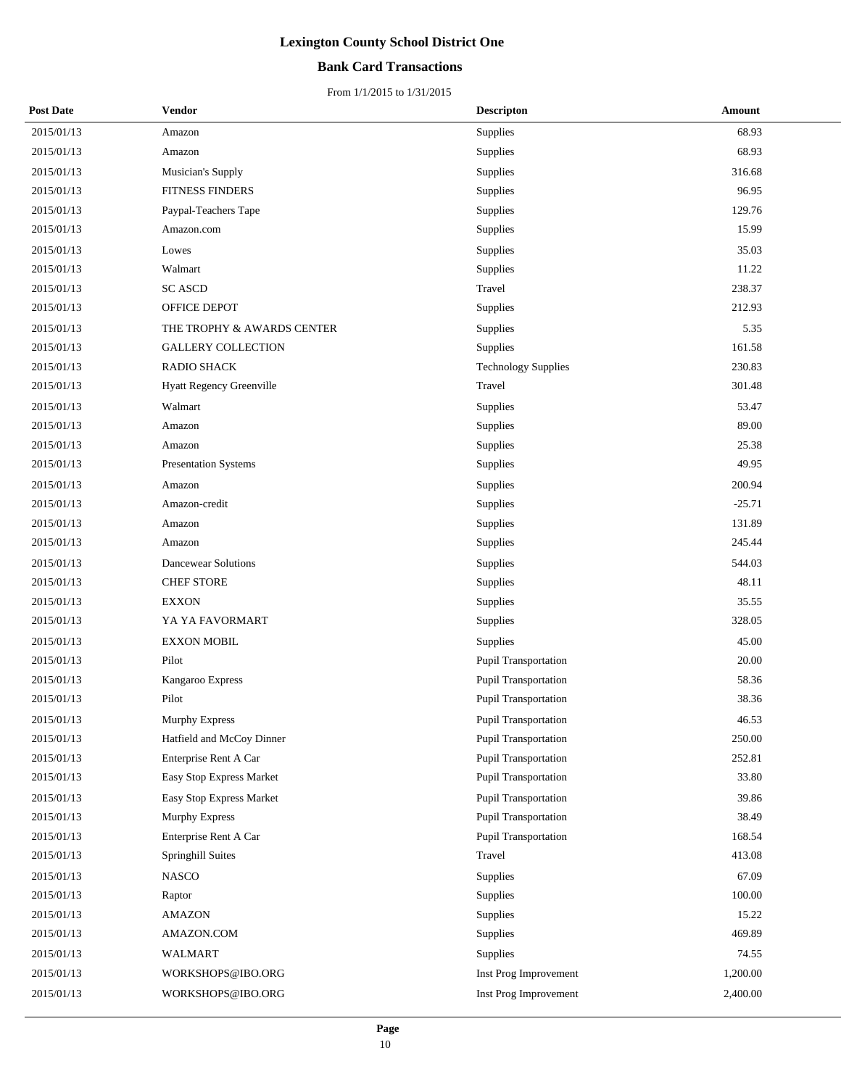## **Bank Card Transactions**

| <b>Post Date</b> | Vendor                          | <b>Descripton</b>           | Amount   |
|------------------|---------------------------------|-----------------------------|----------|
| 2015/01/13       | Amazon                          | Supplies                    | 68.93    |
| 2015/01/13       | Amazon                          | Supplies                    | 68.93    |
| 2015/01/13       | Musician's Supply               | Supplies                    | 316.68   |
| 2015/01/13       | FITNESS FINDERS                 | Supplies                    | 96.95    |
| 2015/01/13       | Paypal-Teachers Tape            | Supplies                    | 129.76   |
| 2015/01/13       | Amazon.com                      | Supplies                    | 15.99    |
| 2015/01/13       | Lowes                           | Supplies                    | 35.03    |
| 2015/01/13       | Walmart                         | Supplies                    | 11.22    |
| 2015/01/13       | <b>SC ASCD</b>                  | Travel                      | 238.37   |
| 2015/01/13       | OFFICE DEPOT                    | Supplies                    | 212.93   |
| 2015/01/13       | THE TROPHY & AWARDS CENTER      | Supplies                    | 5.35     |
| 2015/01/13       | <b>GALLERY COLLECTION</b>       | Supplies                    | 161.58   |
| 2015/01/13       | RADIO SHACK                     | <b>Technology Supplies</b>  | 230.83   |
| 2015/01/13       | <b>Hyatt Regency Greenville</b> | Travel                      | 301.48   |
| 2015/01/13       | Walmart                         | Supplies                    | 53.47    |
| 2015/01/13       | Amazon                          | Supplies                    | 89.00    |
| 2015/01/13       | Amazon                          | Supplies                    | 25.38    |
| 2015/01/13       | <b>Presentation Systems</b>     | Supplies                    | 49.95    |
| 2015/01/13       | Amazon                          | Supplies                    | 200.94   |
| 2015/01/13       | Amazon-credit                   | Supplies                    | $-25.71$ |
| 2015/01/13       | Amazon                          | Supplies                    | 131.89   |
| 2015/01/13       | Amazon                          | Supplies                    | 245.44   |
| 2015/01/13       | <b>Dancewear Solutions</b>      | Supplies                    | 544.03   |
| 2015/01/13       | <b>CHEF STORE</b>               | Supplies                    | 48.11    |
| 2015/01/13       | <b>EXXON</b>                    | Supplies                    | 35.55    |
| 2015/01/13       | YA YA FAVORMART                 | Supplies                    | 328.05   |
| 2015/01/13       | <b>EXXON MOBIL</b>              | Supplies                    | 45.00    |
| 2015/01/13       | Pilot                           | Pupil Transportation        | 20.00    |
| 2015/01/13       | Kangaroo Express                | Pupil Transportation        | 58.36    |
| 2015/01/13       | Pilot                           | <b>Pupil Transportation</b> | 38.36    |
| 2015/01/13       | Murphy Express                  | <b>Pupil Transportation</b> | 46.53    |
| 2015/01/13       | Hatfield and McCoy Dinner       | Pupil Transportation        | 250.00   |
| 2015/01/13       | Enterprise Rent A Car           | Pupil Transportation        | 252.81   |
| 2015/01/13       | Easy Stop Express Market        | <b>Pupil Transportation</b> | 33.80    |
| 2015/01/13       | Easy Stop Express Market        | Pupil Transportation        | 39.86    |
| 2015/01/13       | <b>Murphy Express</b>           | Pupil Transportation        | 38.49    |
| 2015/01/13       | Enterprise Rent A Car           | <b>Pupil Transportation</b> | 168.54   |
| 2015/01/13       | Springhill Suites               | Travel                      | 413.08   |
| 2015/01/13       | <b>NASCO</b>                    | Supplies                    | 67.09    |
| 2015/01/13       | Raptor                          | Supplies                    | 100.00   |
| 2015/01/13       | <b>AMAZON</b>                   | Supplies                    | 15.22    |
| 2015/01/13       | AMAZON.COM                      | Supplies                    | 469.89   |
| 2015/01/13       | <b>WALMART</b>                  | Supplies                    | 74.55    |
| 2015/01/13       | WORKSHOPS@IBO.ORG               | Inst Prog Improvement       | 1,200.00 |
| 2015/01/13       | WORKSHOPS@IBO.ORG               | Inst Prog Improvement       | 2,400.00 |
|                  |                                 |                             |          |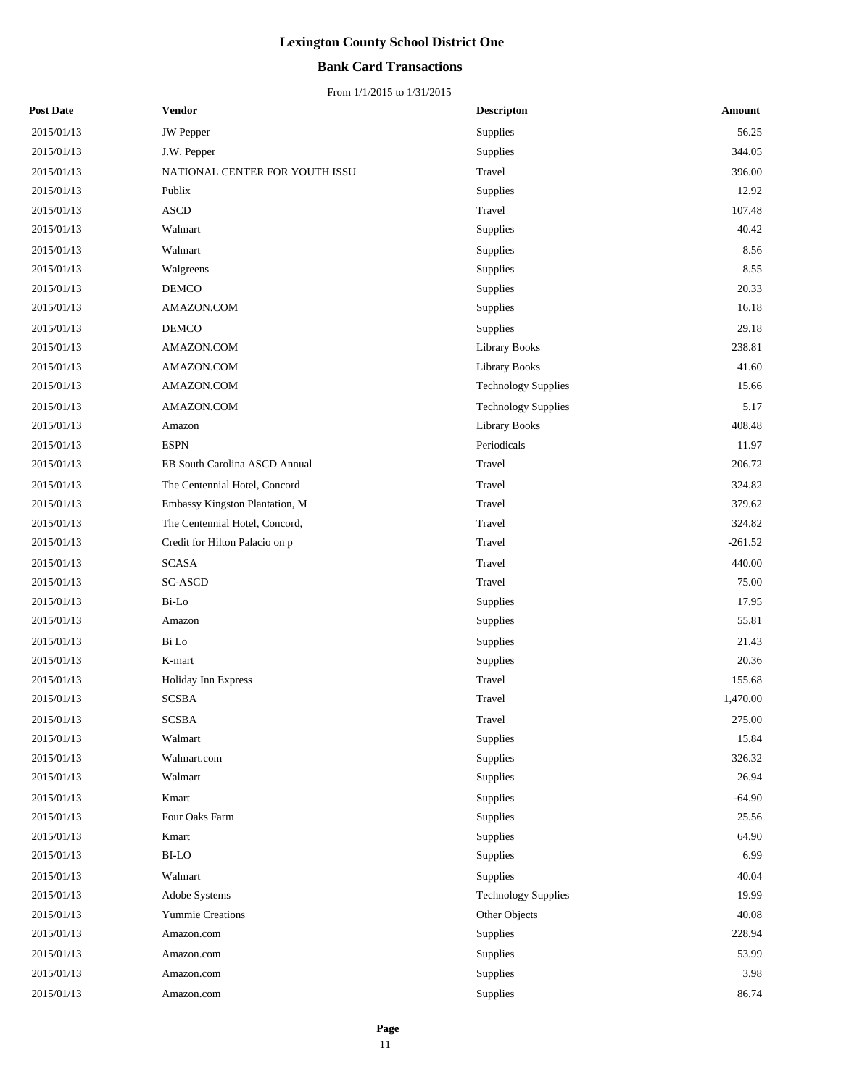## **Bank Card Transactions**

| <b>Post Date</b> | Vendor                         | <b>Descripton</b>          | Amount    |
|------------------|--------------------------------|----------------------------|-----------|
| 2015/01/13       | JW Pepper                      | Supplies                   | 56.25     |
| 2015/01/13       | J.W. Pepper                    | Supplies                   | 344.05    |
| 2015/01/13       | NATIONAL CENTER FOR YOUTH ISSU | Travel                     | 396.00    |
| 2015/01/13       | Publix                         | Supplies                   | 12.92     |
| 2015/01/13       | <b>ASCD</b>                    | Travel                     | 107.48    |
| 2015/01/13       | Walmart                        | Supplies                   | 40.42     |
| 2015/01/13       | Walmart                        | Supplies                   | 8.56      |
| 2015/01/13       | Walgreens                      | Supplies                   | 8.55      |
| 2015/01/13       | DEMCO                          | Supplies                   | 20.33     |
| 2015/01/13       | AMAZON.COM                     | Supplies                   | 16.18     |
| 2015/01/13       | <b>DEMCO</b>                   | Supplies                   | 29.18     |
| 2015/01/13       | AMAZON.COM                     | <b>Library Books</b>       | 238.81    |
| 2015/01/13       | AMAZON.COM                     | <b>Library Books</b>       | 41.60     |
| 2015/01/13       | AMAZON.COM                     | <b>Technology Supplies</b> | 15.66     |
| 2015/01/13       | AMAZON.COM                     | <b>Technology Supplies</b> | 5.17      |
| 2015/01/13       | Amazon                         | <b>Library Books</b>       | 408.48    |
| 2015/01/13       | <b>ESPN</b>                    | Periodicals                | 11.97     |
| 2015/01/13       | EB South Carolina ASCD Annual  | Travel                     | 206.72    |
| 2015/01/13       | The Centennial Hotel, Concord  | Travel                     | 324.82    |
| 2015/01/13       | Embassy Kingston Plantation, M | Travel                     | 379.62    |
| 2015/01/13       | The Centennial Hotel, Concord, | Travel                     | 324.82    |
| 2015/01/13       | Credit for Hilton Palacio on p | Travel                     | $-261.52$ |
| 2015/01/13       | <b>SCASA</b>                   | Travel                     | 440.00    |
| 2015/01/13       | <b>SC-ASCD</b>                 | Travel                     | 75.00     |
| 2015/01/13       | Bi-Lo                          | Supplies                   | 17.95     |
| 2015/01/13       | Amazon                         | Supplies                   | 55.81     |
| 2015/01/13       | Bi Lo                          | Supplies                   | 21.43     |
| 2015/01/13       | K-mart                         | Supplies                   | 20.36     |
| 2015/01/13       | Holiday Inn Express            | Travel                     | 155.68    |
| 2015/01/13       | <b>SCSBA</b>                   | Travel                     | 1,470.00  |
| 2015/01/13       | <b>SCSBA</b>                   | Travel                     | 275.00    |
| 2015/01/13       | Walmart                        | Supplies                   | 15.84     |
| 2015/01/13       | Walmart.com                    | Supplies                   | 326.32    |
| 2015/01/13       | Walmart                        | Supplies                   | 26.94     |
| 2015/01/13       | Kmart                          | Supplies                   | $-64.90$  |
| 2015/01/13       | Four Oaks Farm                 | Supplies                   | 25.56     |
| 2015/01/13       | Kmart                          | Supplies                   | 64.90     |
| 2015/01/13       | <b>BI-LO</b>                   | Supplies                   | 6.99      |
| 2015/01/13       | Walmart                        | Supplies                   | 40.04     |
| 2015/01/13       | Adobe Systems                  | <b>Technology Supplies</b> | 19.99     |
| 2015/01/13       | Yummie Creations               | Other Objects              | 40.08     |
| 2015/01/13       | Amazon.com                     | Supplies                   | 228.94    |
| 2015/01/13       | Amazon.com                     | Supplies                   | 53.99     |
| 2015/01/13       | Amazon.com                     | Supplies                   | 3.98      |
| 2015/01/13       | Amazon.com                     | Supplies                   | 86.74     |
|                  |                                |                            |           |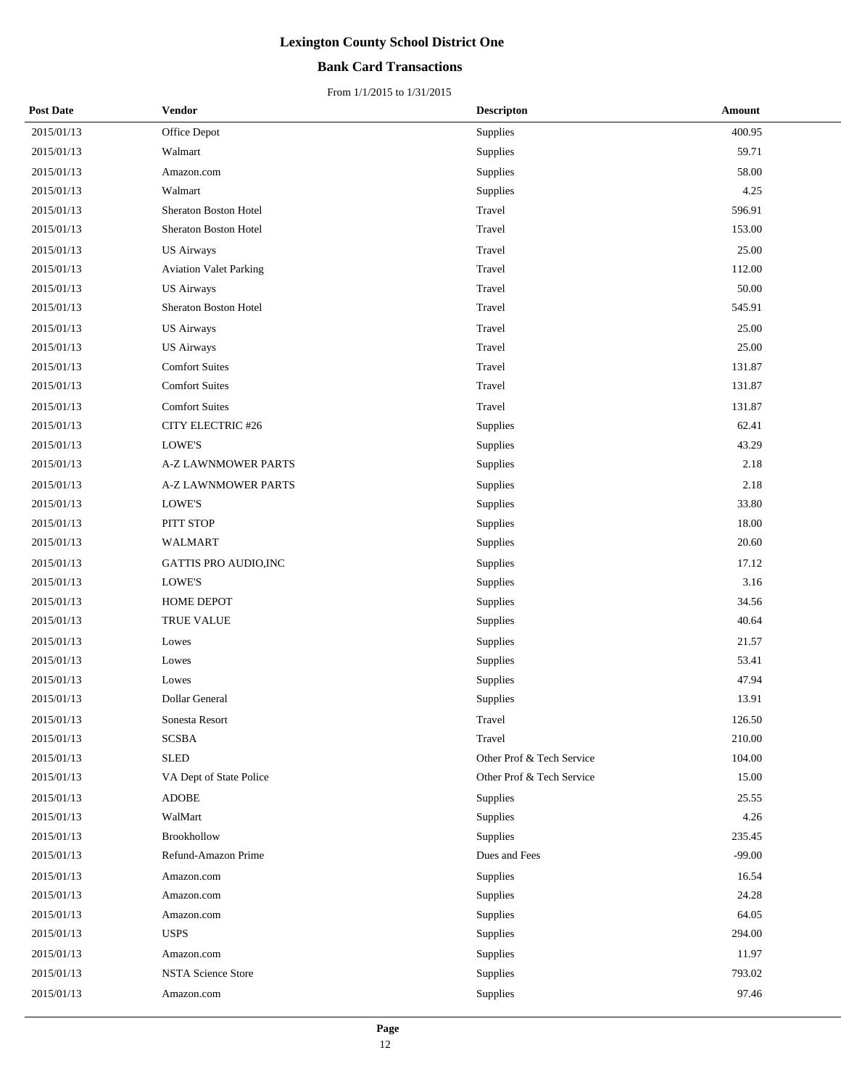## **Bank Card Transactions**

| <b>Post Date</b> | Vendor                        | <b>Descripton</b>         | Amount   |
|------------------|-------------------------------|---------------------------|----------|
| 2015/01/13       | Office Depot                  | Supplies                  | 400.95   |
| 2015/01/13       | Walmart                       | Supplies                  | 59.71    |
| 2015/01/13       | Amazon.com                    | Supplies                  | 58.00    |
| 2015/01/13       | Walmart                       | Supplies                  | 4.25     |
| 2015/01/13       | Sheraton Boston Hotel         | Travel                    | 596.91   |
| 2015/01/13       | Sheraton Boston Hotel         | Travel                    | 153.00   |
| 2015/01/13       | <b>US Airways</b>             | Travel                    | 25.00    |
| 2015/01/13       | <b>Aviation Valet Parking</b> | Travel                    | 112.00   |
| 2015/01/13       | <b>US Airways</b>             | Travel                    | 50.00    |
| 2015/01/13       | Sheraton Boston Hotel         | Travel                    | 545.91   |
| 2015/01/13       | <b>US Airways</b>             | Travel                    | 25.00    |
| 2015/01/13       | <b>US Airways</b>             | Travel                    | 25.00    |
| 2015/01/13       | <b>Comfort Suites</b>         | Travel                    | 131.87   |
| 2015/01/13       | <b>Comfort Suites</b>         | Travel                    | 131.87   |
| 2015/01/13       | <b>Comfort Suites</b>         | Travel                    | 131.87   |
| 2015/01/13       | CITY ELECTRIC #26             | Supplies                  | 62.41    |
| 2015/01/13       | LOWE'S                        | Supplies                  | 43.29    |
| 2015/01/13       | <b>A-Z LAWNMOWER PARTS</b>    | Supplies                  | 2.18     |
| 2015/01/13       | A-Z LAWNMOWER PARTS           | Supplies                  | 2.18     |
| 2015/01/13       | LOWE'S                        | Supplies                  | 33.80    |
| 2015/01/13       | PITT STOP                     | Supplies                  | 18.00    |
| 2015/01/13       | WALMART                       | Supplies                  | 20.60    |
| 2015/01/13       | GATTIS PRO AUDIO, INC         | Supplies                  | 17.12    |
| 2015/01/13       | LOWE'S                        | Supplies                  | 3.16     |
| 2015/01/13       | HOME DEPOT                    | Supplies                  | 34.56    |
| 2015/01/13       | TRUE VALUE                    | Supplies                  | 40.64    |
| 2015/01/13       | Lowes                         | Supplies                  | 21.57    |
| 2015/01/13       | Lowes                         | Supplies                  | 53.41    |
| 2015/01/13       | Lowes                         | Supplies                  | 47.94    |
| 2015/01/13       | Dollar General                | Supplies                  | 13.91    |
| 2015/01/13       | Sonesta Resort                | Travel                    | 126.50   |
| 2015/01/13       | <b>SCSBA</b>                  | Travel                    | 210.00   |
| 2015/01/13       | <b>SLED</b>                   | Other Prof & Tech Service | 104.00   |
| 2015/01/13       | VA Dept of State Police       | Other Prof & Tech Service | 15.00    |
| 2015/01/13       | <b>ADOBE</b>                  | Supplies                  | 25.55    |
| 2015/01/13       | WalMart                       | Supplies                  | 4.26     |
| 2015/01/13       | <b>Brookhollow</b>            | Supplies                  | 235.45   |
| 2015/01/13       | Refund-Amazon Prime           | Dues and Fees             | $-99.00$ |
| 2015/01/13       | Amazon.com                    | Supplies                  | 16.54    |
| 2015/01/13       | Amazon.com                    | Supplies                  | 24.28    |
| 2015/01/13       | Amazon.com                    | Supplies                  | 64.05    |
| 2015/01/13       | <b>USPS</b>                   | Supplies                  | 294.00   |
| 2015/01/13       | Amazon.com                    | Supplies                  | 11.97    |
| 2015/01/13       | <b>NSTA Science Store</b>     | Supplies                  | 793.02   |
| 2015/01/13       | Amazon.com                    | Supplies                  | 97.46    |
|                  |                               |                           |          |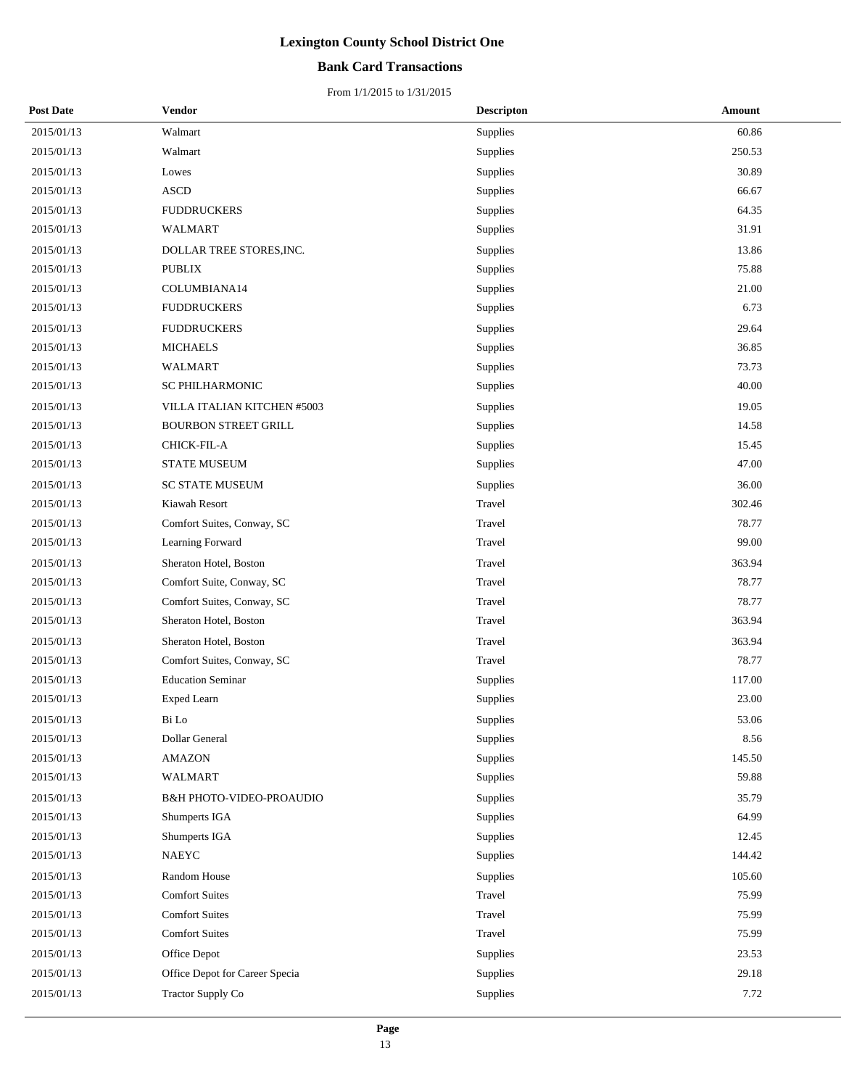## **Bank Card Transactions**

| <b>Post Date</b> | Vendor                              | <b>Descripton</b> | Amount |
|------------------|-------------------------------------|-------------------|--------|
| 2015/01/13       | Walmart                             | Supplies          | 60.86  |
| 2015/01/13       | Walmart                             | Supplies          | 250.53 |
| 2015/01/13       | Lowes                               | Supplies          | 30.89  |
| 2015/01/13       | <b>ASCD</b>                         | Supplies          | 66.67  |
| 2015/01/13       | <b>FUDDRUCKERS</b>                  | Supplies          | 64.35  |
| 2015/01/13       | WALMART                             | Supplies          | 31.91  |
| 2015/01/13       | DOLLAR TREE STORES, INC.            | Supplies          | 13.86  |
| 2015/01/13       | <b>PUBLIX</b>                       | Supplies          | 75.88  |
| 2015/01/13       | COLUMBIANA14                        | Supplies          | 21.00  |
| 2015/01/13       | <b>FUDDRUCKERS</b>                  | Supplies          | 6.73   |
| 2015/01/13       | <b>FUDDRUCKERS</b>                  | Supplies          | 29.64  |
| 2015/01/13       | <b>MICHAELS</b>                     | Supplies          | 36.85  |
| 2015/01/13       | <b>WALMART</b>                      | Supplies          | 73.73  |
| 2015/01/13       | SC PHILHARMONIC                     | Supplies          | 40.00  |
| 2015/01/13       | VILLA ITALIAN KITCHEN #5003         | Supplies          | 19.05  |
| 2015/01/13       | <b>BOURBON STREET GRILL</b>         | Supplies          | 14.58  |
| 2015/01/13       | CHICK-FIL-A                         | Supplies          | 15.45  |
| 2015/01/13       | <b>STATE MUSEUM</b>                 | Supplies          | 47.00  |
| 2015/01/13       | <b>SC STATE MUSEUM</b>              | Supplies          | 36.00  |
| 2015/01/13       | Kiawah Resort                       | Travel            | 302.46 |
| 2015/01/13       | Comfort Suites, Conway, SC          | Travel            | 78.77  |
| 2015/01/13       | Learning Forward                    | Travel            | 99.00  |
| 2015/01/13       | Sheraton Hotel, Boston              | Travel            | 363.94 |
| 2015/01/13       | Comfort Suite, Conway, SC           | Travel            | 78.77  |
| 2015/01/13       | Comfort Suites, Conway, SC          | Travel            | 78.77  |
| 2015/01/13       | Sheraton Hotel, Boston              | Travel            | 363.94 |
| 2015/01/13       | Sheraton Hotel, Boston              | Travel            | 363.94 |
| 2015/01/13       | Comfort Suites, Conway, SC          | Travel            | 78.77  |
| 2015/01/13       | <b>Education Seminar</b>            | Supplies          | 117.00 |
| 2015/01/13       | <b>Exped Learn</b>                  | Supplies          | 23.00  |
| 2015/01/13       | Bi Lo                               | Supplies          | 53.06  |
| 2015/01/13       | Dollar General                      | Supplies          | 8.56   |
| 2015/01/13       | <b>AMAZON</b>                       | Supplies          | 145.50 |
| 2015/01/13       | WALMART                             | Supplies          | 59.88  |
| 2015/01/13       | <b>B&amp;H PHOTO-VIDEO-PROAUDIO</b> | Supplies          | 35.79  |
| 2015/01/13       | Shumperts IGA                       | Supplies          | 64.99  |
| 2015/01/13       | Shumperts IGA                       | Supplies          | 12.45  |
| 2015/01/13       | NAEYC                               | Supplies          | 144.42 |
| 2015/01/13       | Random House                        | Supplies          | 105.60 |
| 2015/01/13       | <b>Comfort Suites</b>               | Travel            | 75.99  |
| 2015/01/13       | <b>Comfort Suites</b>               | Travel            | 75.99  |
| 2015/01/13       | <b>Comfort Suites</b>               | Travel            | 75.99  |
| 2015/01/13       | Office Depot                        | Supplies          | 23.53  |
| 2015/01/13       | Office Depot for Career Specia      | Supplies          | 29.18  |
| 2015/01/13       | Tractor Supply Co                   | Supplies          | 7.72   |
|                  |                                     |                   |        |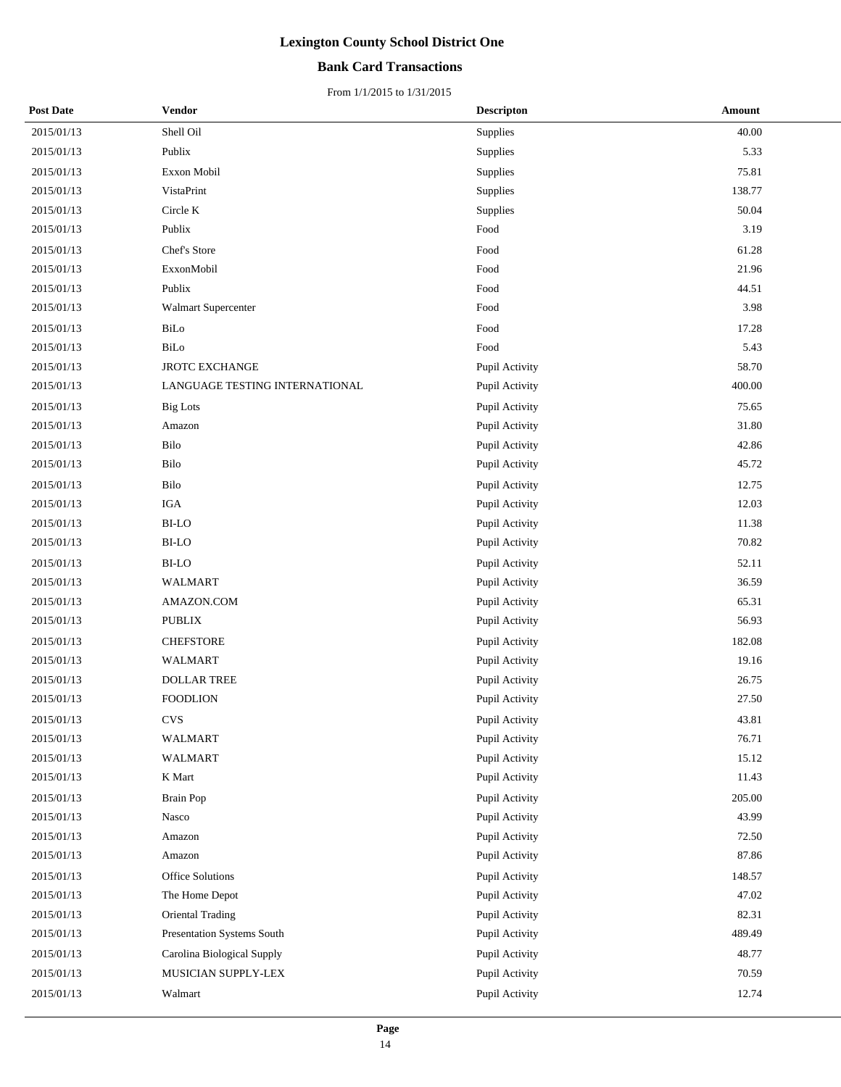## **Bank Card Transactions**

| <b>Post Date</b> | Vendor                         | <b>Descripton</b> | Amount |
|------------------|--------------------------------|-------------------|--------|
| 2015/01/13       | Shell Oil                      | Supplies          | 40.00  |
| 2015/01/13       | Publix                         | Supplies          | 5.33   |
| 2015/01/13       | Exxon Mobil                    | Supplies          | 75.81  |
| 2015/01/13       | VistaPrint                     | Supplies          | 138.77 |
| 2015/01/13       | Circle K                       | Supplies          | 50.04  |
| 2015/01/13       | Publix                         | Food              | 3.19   |
| 2015/01/13       | Chef's Store                   | Food              | 61.28  |
| 2015/01/13       | ExxonMobil                     | Food              | 21.96  |
| 2015/01/13       | Publix                         | Food              | 44.51  |
| 2015/01/13       | Walmart Supercenter            | Food              | 3.98   |
| 2015/01/13       | BiLo                           | Food              | 17.28  |
| 2015/01/13       | BiLo                           | Food              | 5.43   |
| 2015/01/13       | <b>JROTC EXCHANGE</b>          | Pupil Activity    | 58.70  |
| 2015/01/13       | LANGUAGE TESTING INTERNATIONAL | Pupil Activity    | 400.00 |
| 2015/01/13       | <b>Big Lots</b>                | Pupil Activity    | 75.65  |
| 2015/01/13       | Amazon                         | Pupil Activity    | 31.80  |
| 2015/01/13       | Bilo                           | Pupil Activity    | 42.86  |
| 2015/01/13       | Bilo                           | Pupil Activity    | 45.72  |
| 2015/01/13       | Bilo                           | Pupil Activity    | 12.75  |
| 2015/01/13       | <b>IGA</b>                     | Pupil Activity    | 12.03  |
| 2015/01/13       | <b>BI-LO</b>                   | Pupil Activity    | 11.38  |
| 2015/01/13       | <b>BI-LO</b>                   | Pupil Activity    | 70.82  |
| 2015/01/13       | <b>BI-LO</b>                   | Pupil Activity    | 52.11  |
| 2015/01/13       | <b>WALMART</b>                 | Pupil Activity    | 36.59  |
| 2015/01/13       | AMAZON.COM                     | Pupil Activity    | 65.31  |
| 2015/01/13       | <b>PUBLIX</b>                  | Pupil Activity    | 56.93  |
| 2015/01/13       | <b>CHEFSTORE</b>               | Pupil Activity    | 182.08 |
| 2015/01/13       | <b>WALMART</b>                 | Pupil Activity    | 19.16  |
| 2015/01/13       | <b>DOLLAR TREE</b>             | Pupil Activity    | 26.75  |
| 2015/01/13       | <b>FOODLION</b>                | Pupil Activity    | 27.50  |
| 2015/01/13       | <b>CVS</b>                     | Pupil Activity    | 43.81  |
| 2015/01/13       | <b>WALMART</b>                 | Pupil Activity    | 76.71  |
| 2015/01/13       | WALMART                        | Pupil Activity    | 15.12  |
| 2015/01/13       | K Mart                         | Pupil Activity    | 11.43  |
| 2015/01/13       | <b>Brain Pop</b>               | Pupil Activity    | 205.00 |
| 2015/01/13       | Nasco                          | Pupil Activity    | 43.99  |
| 2015/01/13       | Amazon                         | Pupil Activity    | 72.50  |
| 2015/01/13       | Amazon                         | Pupil Activity    | 87.86  |
| 2015/01/13       | Office Solutions               | Pupil Activity    | 148.57 |
| 2015/01/13       | The Home Depot                 | Pupil Activity    | 47.02  |
| 2015/01/13       | Oriental Trading               | Pupil Activity    | 82.31  |
| 2015/01/13       | Presentation Systems South     | Pupil Activity    | 489.49 |
| 2015/01/13       | Carolina Biological Supply     | Pupil Activity    | 48.77  |
| 2015/01/13       | MUSICIAN SUPPLY-LEX            | Pupil Activity    | 70.59  |
| 2015/01/13       | Walmart                        | Pupil Activity    | 12.74  |
|                  |                                |                   |        |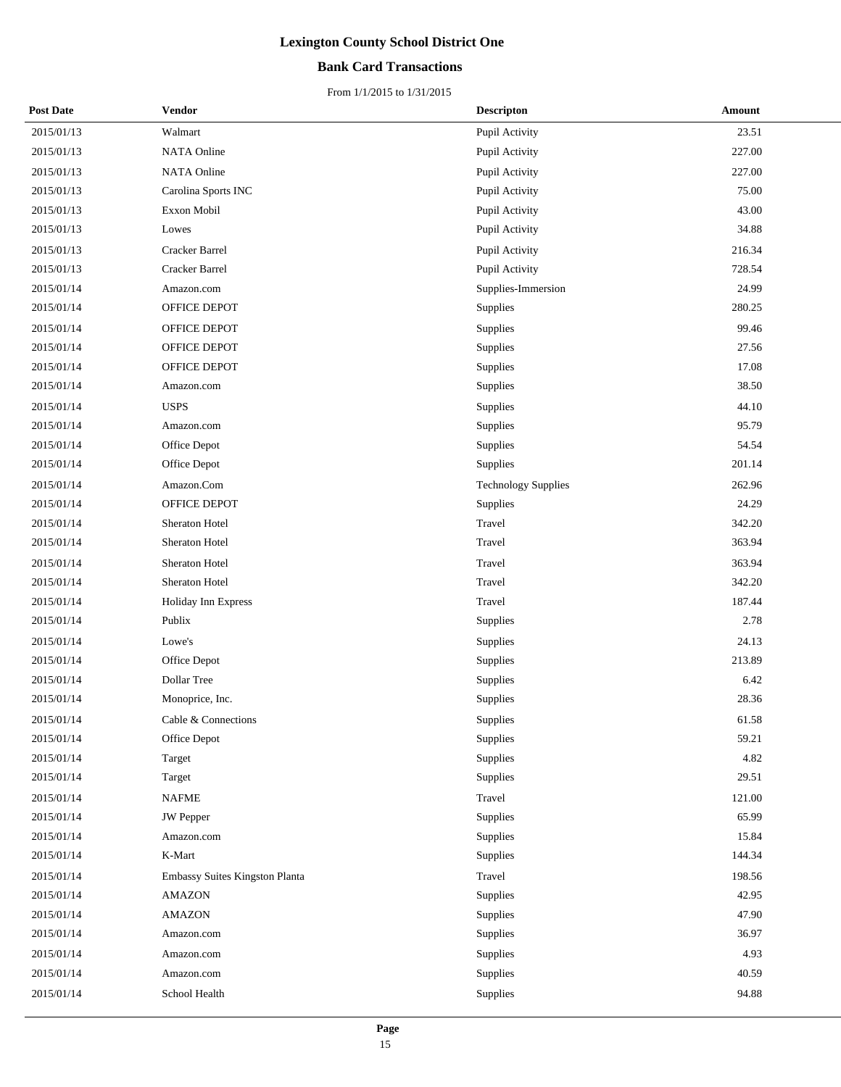## **Bank Card Transactions**

| <b>Post Date</b> | Vendor                         | <b>Descripton</b>          | Amount |
|------------------|--------------------------------|----------------------------|--------|
| 2015/01/13       | Walmart                        | Pupil Activity             | 23.51  |
| 2015/01/13       | NATA Online                    | Pupil Activity             | 227.00 |
| 2015/01/13       | <b>NATA Online</b>             | Pupil Activity             | 227.00 |
| 2015/01/13       | Carolina Sports INC            | Pupil Activity             | 75.00  |
| 2015/01/13       | Exxon Mobil                    | Pupil Activity             | 43.00  |
| 2015/01/13       | Lowes                          | Pupil Activity             | 34.88  |
| 2015/01/13       | <b>Cracker Barrel</b>          | Pupil Activity             | 216.34 |
| 2015/01/13       | Cracker Barrel                 | Pupil Activity             | 728.54 |
| 2015/01/14       | Amazon.com                     | Supplies-Immersion         | 24.99  |
| 2015/01/14       | OFFICE DEPOT                   | Supplies                   | 280.25 |
| 2015/01/14       | OFFICE DEPOT                   | Supplies                   | 99.46  |
| 2015/01/14       | OFFICE DEPOT                   | Supplies                   | 27.56  |
| 2015/01/14       | OFFICE DEPOT                   | <b>Supplies</b>            | 17.08  |
| 2015/01/14       | Amazon.com                     | <b>Supplies</b>            | 38.50  |
| 2015/01/14       | <b>USPS</b>                    | Supplies                   | 44.10  |
| 2015/01/14       | Amazon.com                     | Supplies                   | 95.79  |
| 2015/01/14       | Office Depot                   | Supplies                   | 54.54  |
| 2015/01/14       | Office Depot                   | Supplies                   | 201.14 |
| 2015/01/14       | Amazon.Com                     | <b>Technology Supplies</b> | 262.96 |
| 2015/01/14       | OFFICE DEPOT                   | Supplies                   | 24.29  |
| 2015/01/14       | Sheraton Hotel                 | Travel                     | 342.20 |
| 2015/01/14       | Sheraton Hotel                 | Travel                     | 363.94 |
| 2015/01/14       | Sheraton Hotel                 | Travel                     | 363.94 |
| 2015/01/14       | Sheraton Hotel                 | Travel                     | 342.20 |
| 2015/01/14       | Holiday Inn Express            | Travel                     | 187.44 |
| 2015/01/14       | Publix                         | Supplies                   | 2.78   |
| 2015/01/14       | Lowe's                         | Supplies                   | 24.13  |
| 2015/01/14       | Office Depot                   | Supplies                   | 213.89 |
| 2015/01/14       | Dollar Tree                    | Supplies                   | 6.42   |
| 2015/01/14       | Monoprice, Inc.                | Supplies                   | 28.36  |
| 2015/01/14       | Cable & Connections            | Supplies                   | 61.58  |
| 2015/01/14       | Office Depot                   | Supplies                   | 59.21  |
| 2015/01/14       | Target                         | Supplies                   | 4.82   |
| 2015/01/14       | Target                         | Supplies                   | 29.51  |
| 2015/01/14       | <b>NAFME</b>                   | Travel                     | 121.00 |
| 2015/01/14       | <b>JW</b> Pepper               | Supplies                   | 65.99  |
| 2015/01/14       | Amazon.com                     | Supplies                   | 15.84  |
| 2015/01/14       | K-Mart                         | Supplies                   | 144.34 |
| 2015/01/14       | Embassy Suites Kingston Planta | Travel                     | 198.56 |
| 2015/01/14       | <b>AMAZON</b>                  | Supplies                   | 42.95  |
| 2015/01/14       | <b>AMAZON</b>                  | Supplies                   | 47.90  |
| 2015/01/14       | Amazon.com                     | Supplies                   | 36.97  |
| 2015/01/14       | Amazon.com                     | Supplies                   | 4.93   |
| 2015/01/14       | Amazon.com                     | Supplies                   | 40.59  |
| 2015/01/14       | School Health                  | Supplies                   | 94.88  |
|                  |                                |                            |        |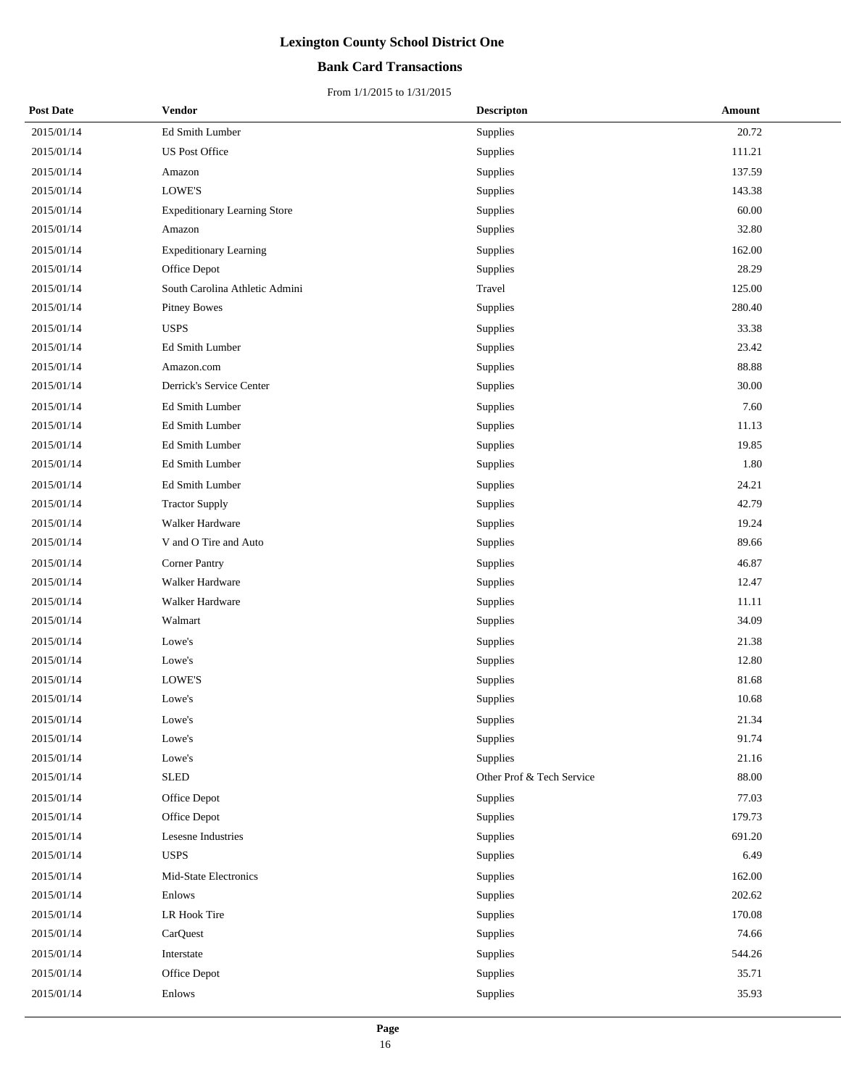## **Bank Card Transactions**

| <b>Post Date</b> | Vendor                              | <b>Descripton</b>         | <b>Amount</b> |
|------------------|-------------------------------------|---------------------------|---------------|
| 2015/01/14       | Ed Smith Lumber                     | Supplies                  | 20.72         |
| 2015/01/14       | <b>US Post Office</b>               | Supplies                  | 111.21        |
| 2015/01/14       | Amazon                              | Supplies                  | 137.59        |
| 2015/01/14       | LOWE'S                              | Supplies                  | 143.38        |
| 2015/01/14       | <b>Expeditionary Learning Store</b> | Supplies                  | 60.00         |
| 2015/01/14       | Amazon                              | Supplies                  | 32.80         |
| 2015/01/14       | <b>Expeditionary Learning</b>       | Supplies                  | 162.00        |
| 2015/01/14       | Office Depot                        | Supplies                  | 28.29         |
| 2015/01/14       | South Carolina Athletic Admini      | Travel                    | 125.00        |
| 2015/01/14       | <b>Pitney Bowes</b>                 | Supplies                  | 280.40        |
| 2015/01/14       | <b>USPS</b>                         | Supplies                  | 33.38         |
| 2015/01/14       | Ed Smith Lumber                     | Supplies                  | 23.42         |
| 2015/01/14       | Amazon.com                          | Supplies                  | 88.88         |
| 2015/01/14       | Derrick's Service Center            | Supplies                  | 30.00         |
| 2015/01/14       | Ed Smith Lumber                     | Supplies                  | 7.60          |
| 2015/01/14       | Ed Smith Lumber                     | Supplies                  | 11.13         |
| 2015/01/14       | Ed Smith Lumber                     | Supplies                  | 19.85         |
| 2015/01/14       | Ed Smith Lumber                     | Supplies                  | 1.80          |
| 2015/01/14       | Ed Smith Lumber                     | Supplies                  | 24.21         |
| 2015/01/14       | <b>Tractor Supply</b>               | Supplies                  | 42.79         |
| 2015/01/14       | Walker Hardware                     | Supplies                  | 19.24         |
| 2015/01/14       | V and O Tire and Auto               | Supplies                  | 89.66         |
| 2015/01/14       | <b>Corner Pantry</b>                | Supplies                  | 46.87         |
| 2015/01/14       | Walker Hardware                     | Supplies                  | 12.47         |
| 2015/01/14       | Walker Hardware                     | Supplies                  | 11.11         |
| 2015/01/14       | Walmart                             | Supplies                  | 34.09         |
| 2015/01/14       | Lowe's                              | Supplies                  | 21.38         |
| 2015/01/14       | Lowe's                              | Supplies                  | 12.80         |
| 2015/01/14       | LOWE'S                              | Supplies                  | 81.68         |
| 2015/01/14       | Lowe's                              | Supplies                  | 10.68         |
| 2015/01/14       | Lowe's                              | Supplies                  | 21.34         |
| 2015/01/14       | Lowe's                              | Supplies                  | 91.74         |
| 2015/01/14       | Lowe's                              | Supplies                  | 21.16         |
| 2015/01/14       | <b>SLED</b>                         | Other Prof & Tech Service | 88.00         |
| 2015/01/14       | Office Depot                        | Supplies                  | 77.03         |
| 2015/01/14       | Office Depot                        | Supplies                  | 179.73        |
| 2015/01/14       | Lesesne Industries                  | Supplies                  | 691.20        |
| 2015/01/14       | <b>USPS</b>                         | Supplies                  | 6.49          |
| 2015/01/14       | Mid-State Electronics               | Supplies                  | 162.00        |
| 2015/01/14       | Enlows                              | Supplies                  | 202.62        |
| 2015/01/14       | LR Hook Tire                        | Supplies                  | 170.08        |
| 2015/01/14       | CarQuest                            | Supplies                  | 74.66         |
| 2015/01/14       | Interstate                          | Supplies                  | 544.26        |
| 2015/01/14       | Office Depot                        | Supplies                  | 35.71         |
| 2015/01/14       | Enlows                              | Supplies                  | 35.93         |
|                  |                                     |                           |               |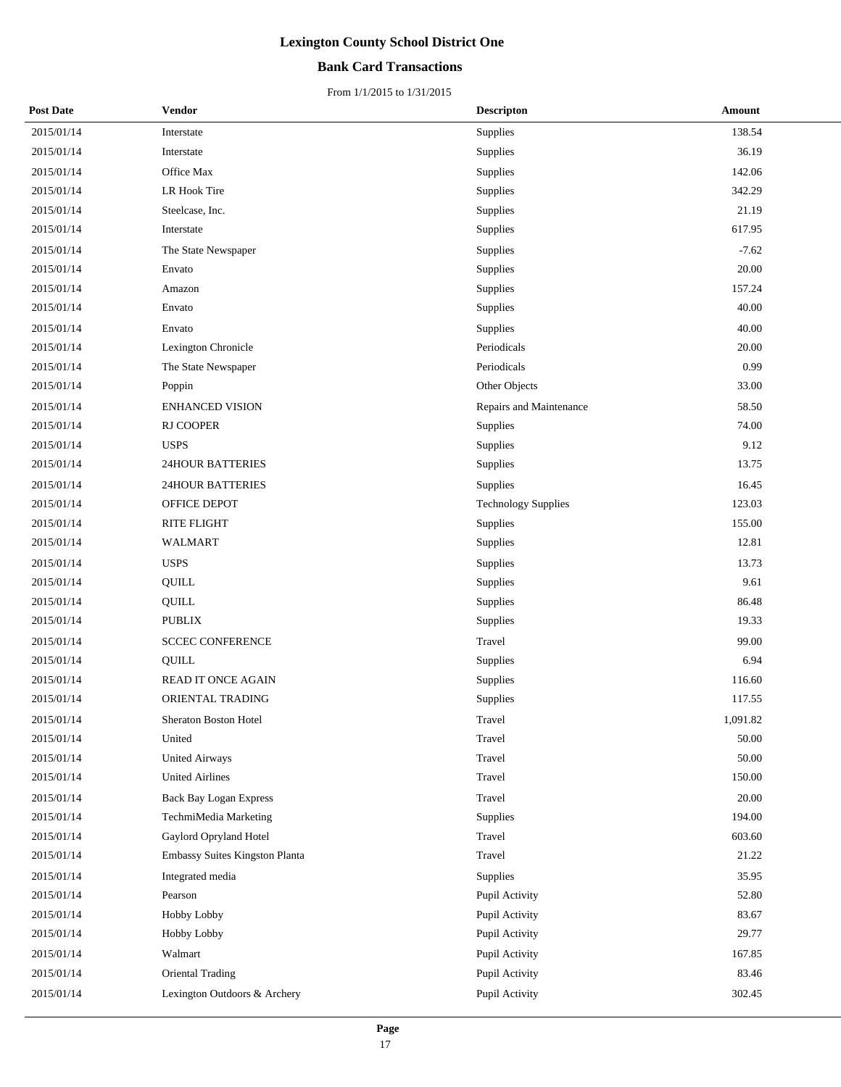## **Bank Card Transactions**

| <b>Post Date</b> | Vendor                         | <b>Descripton</b>          | Amount   |
|------------------|--------------------------------|----------------------------|----------|
| 2015/01/14       | Interstate                     | Supplies                   | 138.54   |
| 2015/01/14       | Interstate                     | Supplies                   | 36.19    |
| 2015/01/14       | Office Max                     | Supplies                   | 142.06   |
| 2015/01/14       | LR Hook Tire                   | Supplies                   | 342.29   |
| 2015/01/14       | Steelcase, Inc.                | Supplies                   | 21.19    |
| 2015/01/14       | Interstate                     | Supplies                   | 617.95   |
| 2015/01/14       | The State Newspaper            | Supplies                   | $-7.62$  |
| 2015/01/14       | Envato                         | Supplies                   | 20.00    |
| 2015/01/14       | Amazon                         | Supplies                   | 157.24   |
| 2015/01/14       | Envato                         | Supplies                   | 40.00    |
| 2015/01/14       | Envato                         | Supplies                   | 40.00    |
| 2015/01/14       | Lexington Chronicle            | Periodicals                | 20.00    |
| 2015/01/14       | The State Newspaper            | Periodicals                | 0.99     |
| 2015/01/14       | Poppin                         | Other Objects              | 33.00    |
| 2015/01/14       | ENHANCED VISION                | Repairs and Maintenance    | 58.50    |
| 2015/01/14       | RJ COOPER                      | Supplies                   | 74.00    |
| 2015/01/14       | <b>USPS</b>                    | Supplies                   | 9.12     |
| 2015/01/14       | <b>24HOUR BATTERIES</b>        | Supplies                   | 13.75    |
| 2015/01/14       | <b>24HOUR BATTERIES</b>        | Supplies                   | 16.45    |
| 2015/01/14       | OFFICE DEPOT                   | <b>Technology Supplies</b> | 123.03   |
| 2015/01/14       | RITE FLIGHT                    | Supplies                   | 155.00   |
| 2015/01/14       | WALMART                        | Supplies                   | 12.81    |
| 2015/01/14       | <b>USPS</b>                    | Supplies                   | 13.73    |
| 2015/01/14       | QUILL                          | Supplies                   | 9.61     |
| 2015/01/14       | QUILL                          | Supplies                   | 86.48    |
| 2015/01/14       | <b>PUBLIX</b>                  | Supplies                   | 19.33    |
| 2015/01/14       | <b>SCCEC CONFERENCE</b>        | Travel                     | 99.00    |
| 2015/01/14       | QUILL                          | Supplies                   | 6.94     |
| 2015/01/14       | READ IT ONCE AGAIN             | Supplies                   | 116.60   |
| 2015/01/14       | ORIENTAL TRADING               | Supplies                   | 117.55   |
| 2015/01/14       | Sheraton Boston Hotel          | Travel                     | 1,091.82 |
| 2015/01/14       | United                         | Travel                     | 50.00    |
| 2015/01/14       | <b>United Airways</b>          | Travel                     | 50.00    |
| 2015/01/14       | <b>United Airlines</b>         | Travel                     | 150.00   |
| 2015/01/14       | <b>Back Bay Logan Express</b>  | Travel                     | 20.00    |
| 2015/01/14       | TechmiMedia Marketing          | Supplies                   | 194.00   |
| 2015/01/14       | Gaylord Opryland Hotel         | Travel                     | 603.60   |
| 2015/01/14       | Embassy Suites Kingston Planta | Travel                     | 21.22    |
| 2015/01/14       | Integrated media               | Supplies                   | 35.95    |
| 2015/01/14       | Pearson                        | Pupil Activity             | 52.80    |
| 2015/01/14       | Hobby Lobby                    | Pupil Activity             | 83.67    |
| 2015/01/14       | Hobby Lobby                    | Pupil Activity             | 29.77    |
| 2015/01/14       | Walmart                        | Pupil Activity             | 167.85   |
| 2015/01/14       | <b>Oriental Trading</b>        | Pupil Activity             | 83.46    |
| 2015/01/14       | Lexington Outdoors & Archery   | Pupil Activity             | 302.45   |
|                  |                                |                            |          |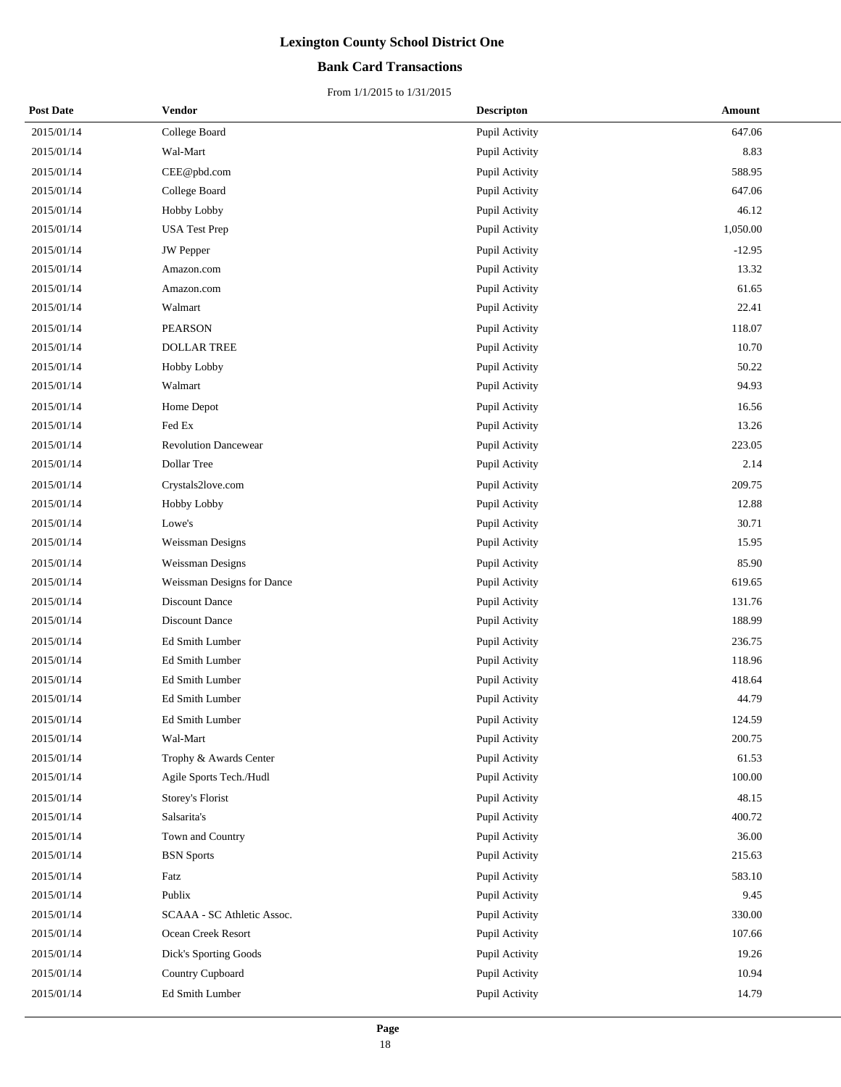## **Bank Card Transactions**

| <b>Post Date</b> | Vendor                      | <b>Descripton</b>     | Amount   |
|------------------|-----------------------------|-----------------------|----------|
| 2015/01/14       | College Board               | Pupil Activity        | 647.06   |
| 2015/01/14       | Wal-Mart                    | Pupil Activity        | 8.83     |
| 2015/01/14       | CEE@pbd.com                 | Pupil Activity        | 588.95   |
| 2015/01/14       | College Board               | Pupil Activity        | 647.06   |
| 2015/01/14       | Hobby Lobby                 | Pupil Activity        | 46.12    |
| 2015/01/14       | <b>USA Test Prep</b>        | Pupil Activity        | 1,050.00 |
| 2015/01/14       | <b>JW</b> Pepper            | Pupil Activity        | $-12.95$ |
| 2015/01/14       | Amazon.com                  | Pupil Activity        | 13.32    |
| 2015/01/14       | Amazon.com                  | Pupil Activity        | 61.65    |
| 2015/01/14       | Walmart                     | Pupil Activity        | 22.41    |
| 2015/01/14       | <b>PEARSON</b>              | Pupil Activity        | 118.07   |
| 2015/01/14       | <b>DOLLAR TREE</b>          | Pupil Activity        | 10.70    |
| 2015/01/14       | Hobby Lobby                 | Pupil Activity        | 50.22    |
| 2015/01/14       | Walmart                     | Pupil Activity        | 94.93    |
| 2015/01/14       | Home Depot                  | Pupil Activity        | 16.56    |
| 2015/01/14       | Fed Ex                      | Pupil Activity        | 13.26    |
| 2015/01/14       | <b>Revolution Dancewear</b> | Pupil Activity        | 223.05   |
| 2015/01/14       | Dollar Tree                 | Pupil Activity        | 2.14     |
| 2015/01/14       | Crystals2love.com           | Pupil Activity        | 209.75   |
| 2015/01/14       | Hobby Lobby                 | Pupil Activity        | 12.88    |
| 2015/01/14       | Lowe's                      | Pupil Activity        | 30.71    |
| 2015/01/14       | Weissman Designs            | Pupil Activity        | 15.95    |
| 2015/01/14       | Weissman Designs            | Pupil Activity        | 85.90    |
| 2015/01/14       | Weissman Designs for Dance  | Pupil Activity        | 619.65   |
| 2015/01/14       | Discount Dance              | Pupil Activity        | 131.76   |
| 2015/01/14       | Discount Dance              | Pupil Activity        | 188.99   |
| 2015/01/14       | Ed Smith Lumber             | Pupil Activity        | 236.75   |
| 2015/01/14       | Ed Smith Lumber             | Pupil Activity        | 118.96   |
| 2015/01/14       | Ed Smith Lumber             | Pupil Activity        | 418.64   |
| 2015/01/14       | Ed Smith Lumber             | Pupil Activity        | 44.79    |
| 2015/01/14       | <b>Ed Smith Lumber</b>      | <b>Pupil Activity</b> | 124.59   |
| 2015/01/14       | Wal-Mart                    | Pupil Activity        | 200.75   |
| 2015/01/14       | Trophy & Awards Center      | Pupil Activity        | 61.53    |
| 2015/01/14       | Agile Sports Tech./Hudl     | Pupil Activity        | 100.00   |
| 2015/01/14       | Storey's Florist            | Pupil Activity        | 48.15    |
| 2015/01/14       | Salsarita's                 | Pupil Activity        | 400.72   |
| 2015/01/14       | Town and Country            | Pupil Activity        | 36.00    |
| 2015/01/14       | <b>BSN</b> Sports           | Pupil Activity        | 215.63   |
| 2015/01/14       | Fatz                        | Pupil Activity        | 583.10   |
| 2015/01/14       | Publix                      | Pupil Activity        | 9.45     |
| 2015/01/14       | SCAAA - SC Athletic Assoc.  | Pupil Activity        | 330.00   |
| 2015/01/14       | Ocean Creek Resort          | Pupil Activity        | 107.66   |
| 2015/01/14       | Dick's Sporting Goods       | Pupil Activity        | 19.26    |
| 2015/01/14       | Country Cupboard            | Pupil Activity        | 10.94    |
| 2015/01/14       | Ed Smith Lumber             | Pupil Activity        | 14.79    |
|                  |                             |                       |          |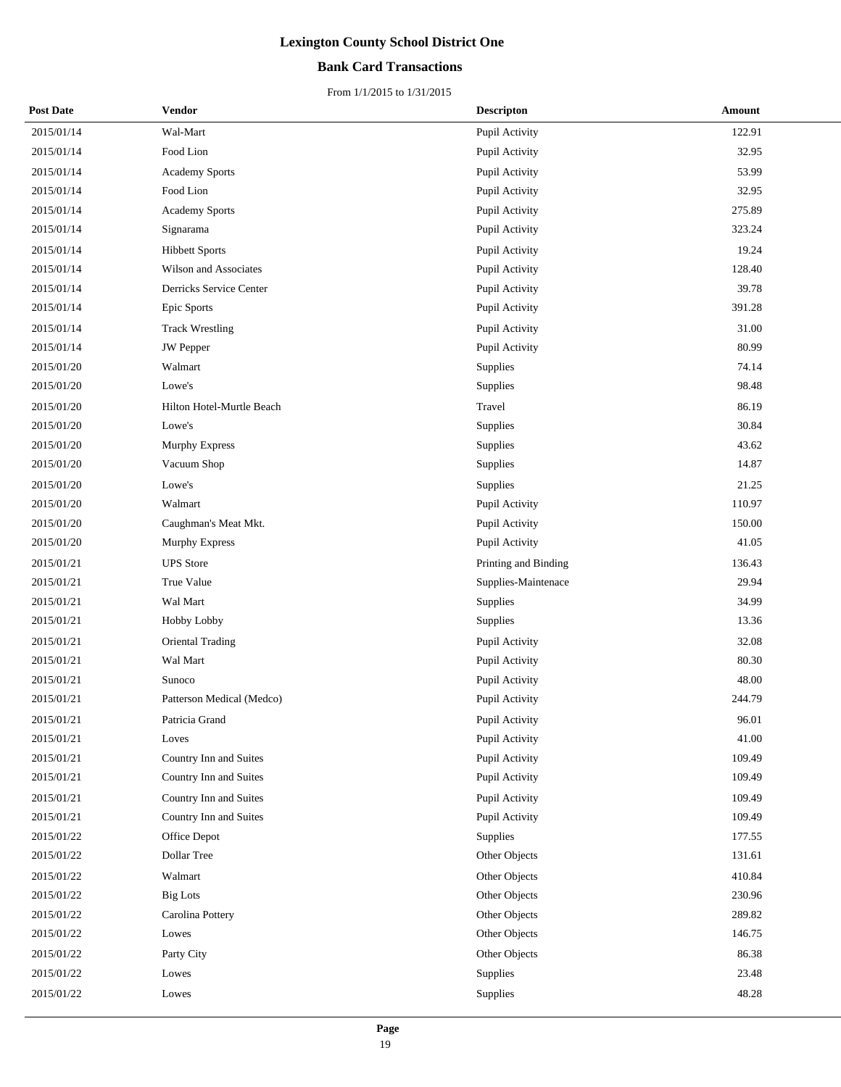## **Bank Card Transactions**

| <b>Post Date</b> | Vendor                    |          | <b>Descripton</b>    | Amount |
|------------------|---------------------------|----------|----------------------|--------|
| 2015/01/14       | Wal-Mart                  |          | Pupil Activity       | 122.91 |
| 2015/01/14       | Food Lion                 |          | Pupil Activity       | 32.95  |
| 2015/01/14       | <b>Academy Sports</b>     |          | Pupil Activity       | 53.99  |
| 2015/01/14       | Food Lion                 |          | Pupil Activity       | 32.95  |
| 2015/01/14       | <b>Academy Sports</b>     |          | Pupil Activity       | 275.89 |
| 2015/01/14       | Signarama                 |          | Pupil Activity       | 323.24 |
| 2015/01/14       | <b>Hibbett Sports</b>     |          | Pupil Activity       | 19.24  |
| 2015/01/14       | Wilson and Associates     |          | Pupil Activity       | 128.40 |
| 2015/01/14       | Derricks Service Center   |          | Pupil Activity       | 39.78  |
| 2015/01/14       | Epic Sports               |          | Pupil Activity       | 391.28 |
| 2015/01/14       | <b>Track Wrestling</b>    |          | Pupil Activity       | 31.00  |
| 2015/01/14       | <b>JW</b> Pepper          |          | Pupil Activity       | 80.99  |
| 2015/01/20       | Walmart                   | Supplies |                      | 74.14  |
| 2015/01/20       | Lowe's                    | Supplies |                      | 98.48  |
| 2015/01/20       | Hilton Hotel-Murtle Beach | Travel   |                      | 86.19  |
| 2015/01/20       | Lowe's                    | Supplies |                      | 30.84  |
| 2015/01/20       | Murphy Express            | Supplies |                      | 43.62  |
| 2015/01/20       | Vacuum Shop               | Supplies |                      | 14.87  |
| 2015/01/20       | Lowe's                    | Supplies |                      | 21.25  |
| 2015/01/20       | Walmart                   |          | Pupil Activity       | 110.97 |
| 2015/01/20       | Caughman's Meat Mkt.      |          | Pupil Activity       | 150.00 |
| 2015/01/20       | <b>Murphy Express</b>     |          | Pupil Activity       | 41.05  |
| 2015/01/21       | <b>UPS</b> Store          |          | Printing and Binding | 136.43 |
| 2015/01/21       | True Value                |          | Supplies-Maintenace  | 29.94  |
| 2015/01/21       | Wal Mart                  | Supplies |                      | 34.99  |
| 2015/01/21       | Hobby Lobby               | Supplies |                      | 13.36  |
| 2015/01/21       | <b>Oriental Trading</b>   |          | Pupil Activity       | 32.08  |
| 2015/01/21       | Wal Mart                  |          | Pupil Activity       | 80.30  |
| 2015/01/21       | Sunoco                    |          | Pupil Activity       | 48.00  |
| 2015/01/21       | Patterson Medical (Medco) |          | Pupil Activity       | 244.79 |
| 2015/01/21       | Patricia Grand            |          | Pupil Activity       | 96.01  |
| 2015/01/21       | Loves                     |          | Pupil Activity       | 41.00  |
| 2015/01/21       | Country Inn and Suites    |          | Pupil Activity       | 109.49 |
| 2015/01/21       | Country Inn and Suites    |          | Pupil Activity       | 109.49 |
| 2015/01/21       | Country Inn and Suites    |          | Pupil Activity       | 109.49 |
| 2015/01/21       | Country Inn and Suites    |          | Pupil Activity       | 109.49 |
| 2015/01/22       | Office Depot              | Supplies |                      | 177.55 |
| 2015/01/22       | Dollar Tree               |          | Other Objects        | 131.61 |
| 2015/01/22       | Walmart                   |          | Other Objects        | 410.84 |
| 2015/01/22       | <b>Big Lots</b>           |          | Other Objects        | 230.96 |
| 2015/01/22       | Carolina Pottery          |          | Other Objects        | 289.82 |
| 2015/01/22       | Lowes                     |          | Other Objects        | 146.75 |
| 2015/01/22       | Party City                |          | Other Objects        | 86.38  |
| 2015/01/22       | Lowes                     | Supplies |                      | 23.48  |
| 2015/01/22       | Lowes                     | Supplies |                      | 48.28  |
|                  |                           |          |                      |        |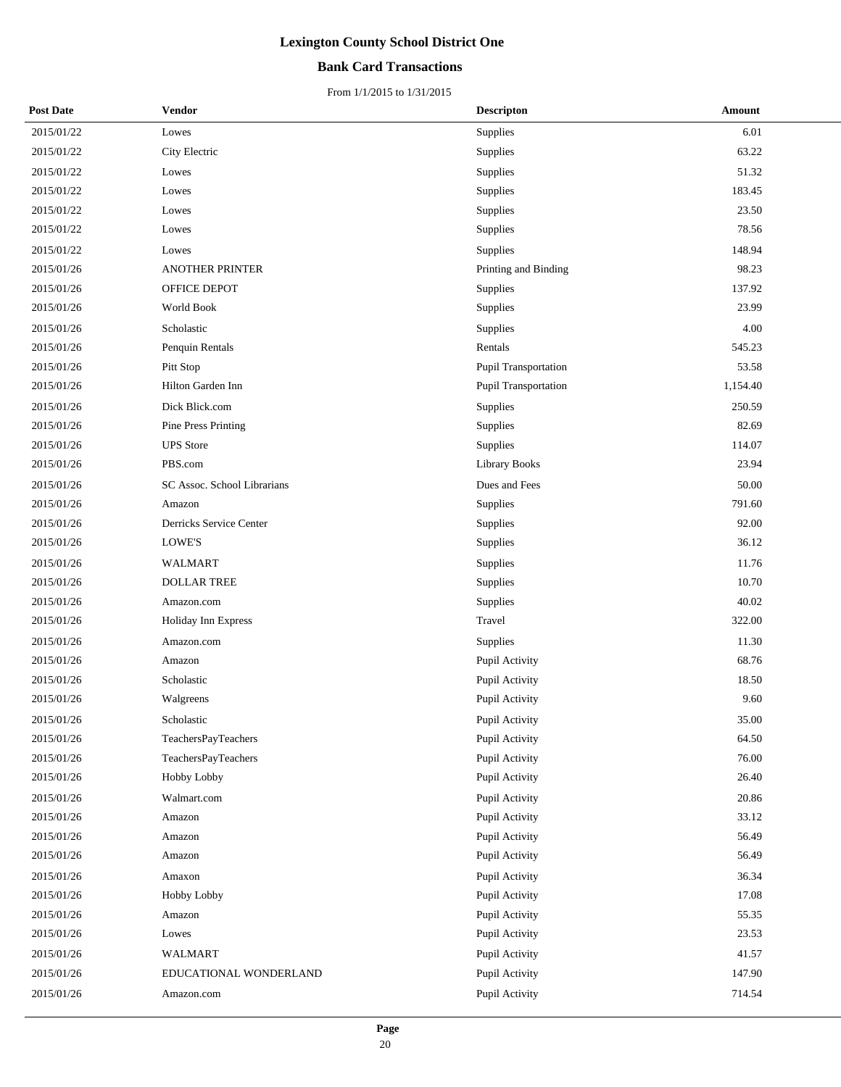## **Bank Card Transactions**

| <b>Post Date</b> | <b>Vendor</b>               | <b>Descripton</b>    | Amount   |
|------------------|-----------------------------|----------------------|----------|
| 2015/01/22       | Lowes                       | Supplies             | 6.01     |
| 2015/01/22       | City Electric               | Supplies             | 63.22    |
| 2015/01/22       | Lowes                       | Supplies             | 51.32    |
| 2015/01/22       | Lowes                       | Supplies             | 183.45   |
| 2015/01/22       | Lowes                       | Supplies             | 23.50    |
| 2015/01/22       | Lowes                       | Supplies             | 78.56    |
| 2015/01/22       | Lowes                       | Supplies             | 148.94   |
| 2015/01/26       | <b>ANOTHER PRINTER</b>      | Printing and Binding | 98.23    |
| 2015/01/26       | OFFICE DEPOT                | Supplies             | 137.92   |
| 2015/01/26       | World Book                  | Supplies             | 23.99    |
| 2015/01/26       | Scholastic                  | Supplies             | 4.00     |
| 2015/01/26       | Penquin Rentals             | Rentals              | 545.23   |
| 2015/01/26       | Pitt Stop                   | Pupil Transportation | 53.58    |
| 2015/01/26       | Hilton Garden Inn           | Pupil Transportation | 1,154.40 |
| 2015/01/26       | Dick Blick.com              | Supplies             | 250.59   |
| 2015/01/26       | <b>Pine Press Printing</b>  | Supplies             | 82.69    |
| 2015/01/26       | <b>UPS</b> Store            | Supplies             | 114.07   |
| 2015/01/26       | PBS.com                     | <b>Library Books</b> | 23.94    |
| 2015/01/26       | SC Assoc. School Librarians | Dues and Fees        | 50.00    |
| 2015/01/26       | Amazon                      | Supplies             | 791.60   |
| 2015/01/26       | Derricks Service Center     | Supplies             | 92.00    |
| 2015/01/26       | LOWE'S                      | Supplies             | 36.12    |
| 2015/01/26       | WALMART                     | Supplies             | 11.76    |
| 2015/01/26       | <b>DOLLAR TREE</b>          | Supplies             | 10.70    |
| 2015/01/26       | Amazon.com                  | Supplies             | 40.02    |
| 2015/01/26       | Holiday Inn Express         | Travel               | 322.00   |
| 2015/01/26       | Amazon.com                  | Supplies             | 11.30    |
| 2015/01/26       | Amazon                      | Pupil Activity       | 68.76    |
| 2015/01/26       | Scholastic                  | Pupil Activity       | 18.50    |
| 2015/01/26       | Walgreens                   | Pupil Activity       | 9.60     |
| 2015/01/26       | Scholastic                  | Pupil Activity       | 35.00    |
| 2015/01/26       | TeachersPayTeachers         | Pupil Activity       | 64.50    |
| 2015/01/26       | TeachersPayTeachers         | Pupil Activity       | 76.00    |
| 2015/01/26       | Hobby Lobby                 | Pupil Activity       | 26.40    |
| 2015/01/26       | Walmart.com                 | Pupil Activity       | 20.86    |
| 2015/01/26       | Amazon                      | Pupil Activity       | 33.12    |
| 2015/01/26       | Amazon                      | Pupil Activity       | 56.49    |
| 2015/01/26       | Amazon                      | Pupil Activity       | 56.49    |
| 2015/01/26       | Amaxon                      | Pupil Activity       | 36.34    |
| 2015/01/26       | Hobby Lobby                 | Pupil Activity       | 17.08    |
| 2015/01/26       | Amazon                      | Pupil Activity       | 55.35    |
| 2015/01/26       | Lowes                       | Pupil Activity       | 23.53    |
| 2015/01/26       | WALMART                     | Pupil Activity       | 41.57    |
| 2015/01/26       | EDUCATIONAL WONDERLAND      | Pupil Activity       | 147.90   |
| 2015/01/26       | Amazon.com                  | Pupil Activity       | 714.54   |
|                  |                             |                      |          |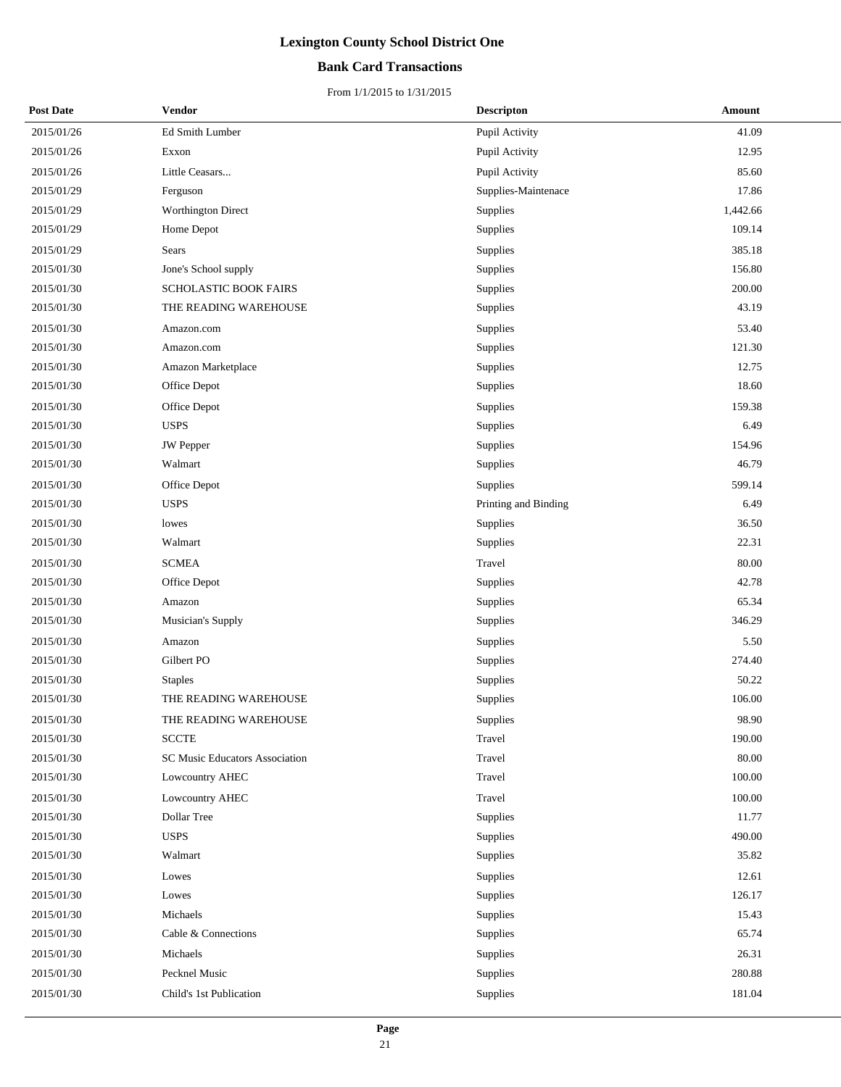## **Bank Card Transactions**

| <b>Post Date</b> | <b>Vendor</b>                  | <b>Descripton</b>    | Amount   |
|------------------|--------------------------------|----------------------|----------|
| 2015/01/26       | Ed Smith Lumber                | Pupil Activity       | 41.09    |
| 2015/01/26       | Exxon                          | Pupil Activity       | 12.95    |
| 2015/01/26       | Little Ceasars                 | Pupil Activity       | 85.60    |
| 2015/01/29       | Ferguson                       | Supplies-Maintenace  | 17.86    |
| 2015/01/29       | <b>Worthington Direct</b>      | Supplies             | 1,442.66 |
| 2015/01/29       | Home Depot                     | Supplies             | 109.14   |
| 2015/01/29       | Sears                          | Supplies             | 385.18   |
| 2015/01/30       | Jone's School supply           | Supplies             | 156.80   |
| 2015/01/30       | SCHOLASTIC BOOK FAIRS          | Supplies             | 200.00   |
| 2015/01/30       | THE READING WAREHOUSE          | Supplies             | 43.19    |
| 2015/01/30       | Amazon.com                     | Supplies             | 53.40    |
| 2015/01/30       | Amazon.com                     | Supplies             | 121.30   |
| 2015/01/30       | Amazon Marketplace             | Supplies             | 12.75    |
| 2015/01/30       | Office Depot                   | Supplies             | 18.60    |
| 2015/01/30       | Office Depot                   | Supplies             | 159.38   |
| 2015/01/30       | <b>USPS</b>                    | Supplies             | 6.49     |
| 2015/01/30       | <b>JW</b> Pepper               | Supplies             | 154.96   |
| 2015/01/30       | Walmart                        | Supplies             | 46.79    |
| 2015/01/30       | Office Depot                   | Supplies             | 599.14   |
| 2015/01/30       | <b>USPS</b>                    | Printing and Binding | 6.49     |
| 2015/01/30       | lowes                          | Supplies             | 36.50    |
| 2015/01/30       | Walmart                        | Supplies             | 22.31    |
| 2015/01/30       | <b>SCMEA</b>                   | Travel               | 80.00    |
| 2015/01/30       | Office Depot                   | Supplies             | 42.78    |
| 2015/01/30       | Amazon                         | Supplies             | 65.34    |
| 2015/01/30       | Musician's Supply              | Supplies             | 346.29   |
| 2015/01/30       | Amazon                         | Supplies             | 5.50     |
| 2015/01/30       | Gilbert PO                     | Supplies             | 274.40   |
| 2015/01/30       | <b>Staples</b>                 | Supplies             | 50.22    |
| 2015/01/30       | THE READING WAREHOUSE          | Supplies             | 106.00   |
| 2015/01/30       | THE READING WAREHOUSE          | Supplies             | 98.90    |
| 2015/01/30       | <b>SCCTE</b>                   | Travel               | 190.00   |
| 2015/01/30       | SC Music Educators Association | Travel               | 80.00    |
| 2015/01/30       | Lowcountry AHEC                | Travel               | 100.00   |
| 2015/01/30       | Lowcountry AHEC                | Travel               | 100.00   |
| 2015/01/30       | Dollar Tree                    | Supplies             | 11.77    |
| 2015/01/30       | <b>USPS</b>                    | Supplies             | 490.00   |
| 2015/01/30       | Walmart                        | <b>Supplies</b>      | 35.82    |
| 2015/01/30       | Lowes                          | Supplies             | 12.61    |
| 2015/01/30       | Lowes                          | Supplies             | 126.17   |
| 2015/01/30       | Michaels                       | Supplies             | 15.43    |
| 2015/01/30       | Cable & Connections            | Supplies             | 65.74    |
| 2015/01/30       | Michaels                       | Supplies             | 26.31    |
| 2015/01/30       | Pecknel Music                  | Supplies             | 280.88   |
| 2015/01/30       | Child's 1st Publication        | Supplies             | 181.04   |
|                  |                                |                      |          |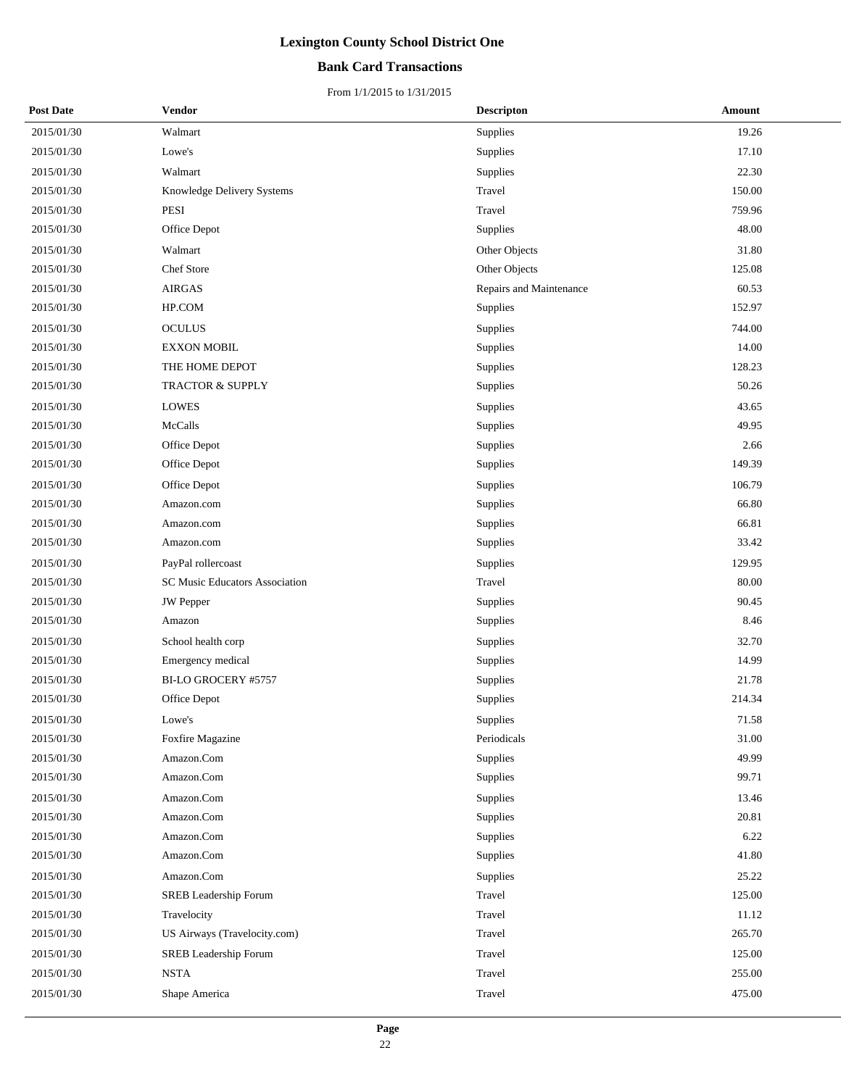## **Bank Card Transactions**

| <b>Post Date</b> | Vendor                         | <b>Descripton</b>       | <b>Amount</b> |
|------------------|--------------------------------|-------------------------|---------------|
| 2015/01/30       | Walmart                        | Supplies                | 19.26         |
| 2015/01/30       | Lowe's                         | Supplies                | 17.10         |
| 2015/01/30       | Walmart                        | Supplies                | 22.30         |
| 2015/01/30       | Knowledge Delivery Systems     | Travel                  | 150.00        |
| 2015/01/30       | PESI                           | Travel                  | 759.96        |
| 2015/01/30       | Office Depot                   | Supplies                | 48.00         |
| 2015/01/30       | Walmart                        | Other Objects           | 31.80         |
| 2015/01/30       | Chef Store                     | Other Objects           | 125.08        |
| 2015/01/30       | <b>AIRGAS</b>                  | Repairs and Maintenance | 60.53         |
| 2015/01/30       | HP.COM                         | Supplies                | 152.97        |
| 2015/01/30       | <b>OCULUS</b>                  | Supplies                | 744.00        |
| 2015/01/30       | <b>EXXON MOBIL</b>             | Supplies                | 14.00         |
| 2015/01/30       | THE HOME DEPOT                 | Supplies                | 128.23        |
| 2015/01/30       | <b>TRACTOR &amp; SUPPLY</b>    | Supplies                | 50.26         |
| 2015/01/30       | <b>LOWES</b>                   | Supplies                | 43.65         |
| 2015/01/30       | McCalls                        | Supplies                | 49.95         |
| 2015/01/30       | Office Depot                   | Supplies                | 2.66          |
| 2015/01/30       | Office Depot                   | Supplies                | 149.39        |
| 2015/01/30       | Office Depot                   | Supplies                | 106.79        |
| 2015/01/30       | Amazon.com                     | Supplies                | 66.80         |
| 2015/01/30       | Amazon.com                     | Supplies                | 66.81         |
| 2015/01/30       | Amazon.com                     | Supplies                | 33.42         |
| 2015/01/30       | PayPal rollercoast             | Supplies                | 129.95        |
| 2015/01/30       | SC Music Educators Association | Travel                  | 80.00         |
| 2015/01/30       | <b>JW</b> Pepper               | Supplies                | 90.45         |
| 2015/01/30       | Amazon                         | Supplies                | 8.46          |
| 2015/01/30       | School health corp             | <b>Supplies</b>         | 32.70         |
| 2015/01/30       | Emergency medical              | Supplies                | 14.99         |
| 2015/01/30       | BI-LO GROCERY #5757            | Supplies                | 21.78         |
| 2015/01/30       | Office Depot                   | Supplies                | 214.34        |
| 2015/01/30       | Lowe's                         | Supplies                | 71.58         |
| 2015/01/30       | Foxfire Magazine               | Periodicals             | 31.00         |
| 2015/01/30       | Amazon.Com                     | Supplies                | 49.99         |
| 2015/01/30       | Amazon.Com                     | Supplies                | 99.71         |
| 2015/01/30       | Amazon.Com                     | Supplies                | 13.46         |
| 2015/01/30       | Amazon.Com                     | Supplies                | 20.81         |
| 2015/01/30       | Amazon.Com                     | Supplies                | 6.22          |
| 2015/01/30       | Amazon.Com                     | <b>Supplies</b>         | 41.80         |
| 2015/01/30       | Amazon.Com                     | Supplies                | 25.22         |
| 2015/01/30       | SREB Leadership Forum          | Travel                  | 125.00        |
| 2015/01/30       | Travelocity                    | Travel                  | 11.12         |
| 2015/01/30       | US Airways (Travelocity.com)   | Travel                  | 265.70        |
| 2015/01/30       | SREB Leadership Forum          | Travel                  | 125.00        |
| 2015/01/30       | <b>NSTA</b>                    | Travel                  | 255.00        |
| 2015/01/30       | Shape America                  | Travel                  | 475.00        |
|                  |                                |                         |               |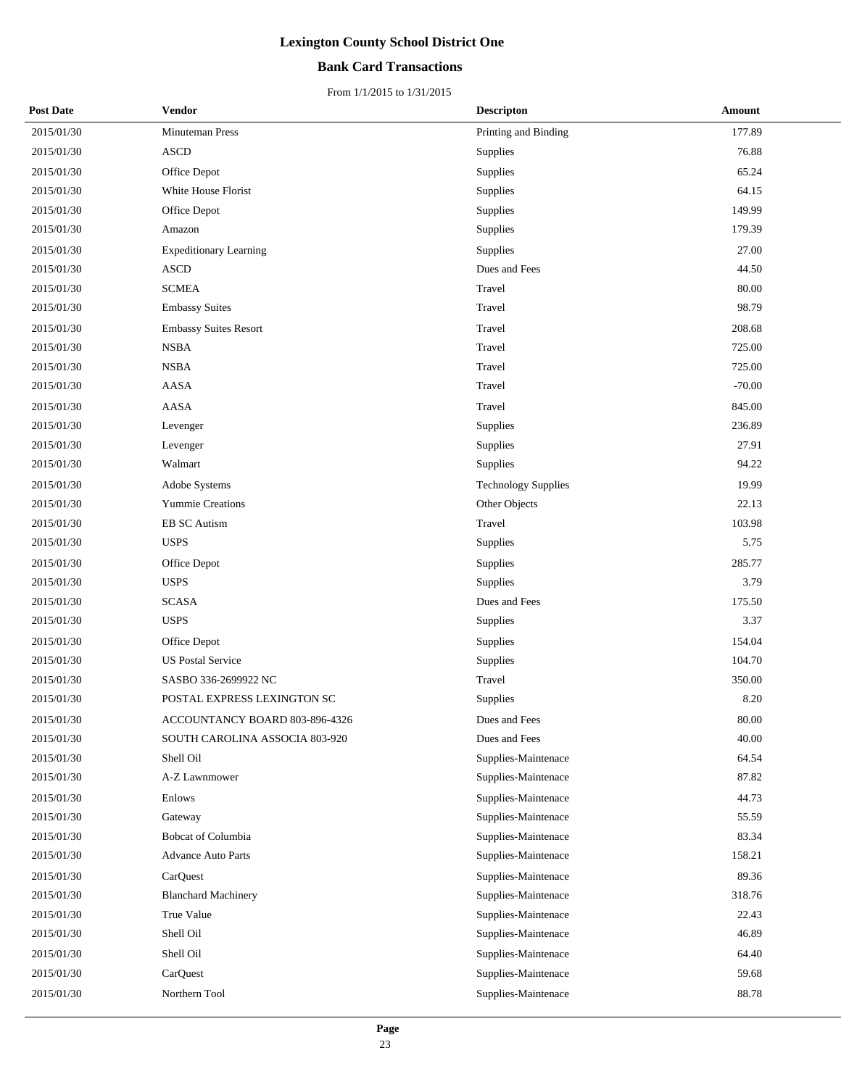## **Bank Card Transactions**

| <b>Post Date</b> | Vendor                         | <b>Descripton</b>          | Amount   |
|------------------|--------------------------------|----------------------------|----------|
| 2015/01/30       | Minuteman Press                | Printing and Binding       | 177.89   |
| 2015/01/30       | $\bold{ASCD}$                  | <b>Supplies</b>            | 76.88    |
| 2015/01/30       | Office Depot                   | Supplies                   | 65.24    |
| 2015/01/30       | White House Florist            | Supplies                   | 64.15    |
| 2015/01/30       | Office Depot                   | Supplies                   | 149.99   |
| 2015/01/30       | Amazon                         | Supplies                   | 179.39   |
| 2015/01/30       | <b>Expeditionary Learning</b>  | Supplies                   | 27.00    |
| 2015/01/30       | <b>ASCD</b>                    | Dues and Fees              | 44.50    |
| 2015/01/30       | <b>SCMEA</b>                   | Travel                     | 80.00    |
| 2015/01/30       | <b>Embassy Suites</b>          | Travel                     | 98.79    |
| 2015/01/30       | <b>Embassy Suites Resort</b>   | Travel                     | 208.68   |
| 2015/01/30       | <b>NSBA</b>                    | Travel                     | 725.00   |
| 2015/01/30       | <b>NSBA</b>                    | Travel                     | 725.00   |
| 2015/01/30       | AASA                           | Travel                     | $-70.00$ |
| 2015/01/30       | AASA                           | Travel                     | 845.00   |
| 2015/01/30       | Levenger                       | <b>Supplies</b>            | 236.89   |
| 2015/01/30       | Levenger                       | Supplies                   | 27.91    |
| 2015/01/30       | Walmart                        | Supplies                   | 94.22    |
| 2015/01/30       | Adobe Systems                  | <b>Technology Supplies</b> | 19.99    |
| 2015/01/30       | Yummie Creations               | Other Objects              | 22.13    |
| 2015/01/30       | <b>EB SC Autism</b>            | Travel                     | 103.98   |
| 2015/01/30       | <b>USPS</b>                    | Supplies                   | 5.75     |
| 2015/01/30       | Office Depot                   | Supplies                   | 285.77   |
| 2015/01/30       | <b>USPS</b>                    | Supplies                   | 3.79     |
| 2015/01/30       | <b>SCASA</b>                   | Dues and Fees              | 175.50   |
| 2015/01/30       | <b>USPS</b>                    | Supplies                   | 3.37     |
| 2015/01/30       | Office Depot                   | Supplies                   | 154.04   |
| 2015/01/30       | <b>US Postal Service</b>       | Supplies                   | 104.70   |
| 2015/01/30       | SASBO 336-2699922 NC           | Travel                     | 350.00   |
| 2015/01/30       | POSTAL EXPRESS LEXINGTON SC    | Supplies                   | 8.20     |
| 2015/01/30       | ACCOUNTANCY BOARD 803-896-4326 | Dues and Fees              | 80.00    |
| 2015/01/30       | SOUTH CAROLINA ASSOCIA 803-920 | Dues and Fees              | 40.00    |
| 2015/01/30       | Shell Oil                      | Supplies-Maintenace        | 64.54    |
| 2015/01/30       | A-Z Lawnmower                  | Supplies-Maintenace        | 87.82    |
| 2015/01/30       | Enlows                         | Supplies-Maintenace        | 44.73    |
| 2015/01/30       | Gateway                        | Supplies-Maintenace        | 55.59    |
| 2015/01/30       | <b>Bobcat of Columbia</b>      | Supplies-Maintenace        | 83.34    |
| 2015/01/30       | <b>Advance Auto Parts</b>      | Supplies-Maintenace        | 158.21   |
| 2015/01/30       | CarQuest                       | Supplies-Maintenace        | 89.36    |
| 2015/01/30       | <b>Blanchard Machinery</b>     | Supplies-Maintenace        | 318.76   |
| 2015/01/30       | True Value                     | Supplies-Maintenace        | 22.43    |
| 2015/01/30       | Shell Oil                      | Supplies-Maintenace        | 46.89    |
| 2015/01/30       | Shell Oil                      | Supplies-Maintenace        | 64.40    |
| 2015/01/30       | CarQuest                       | Supplies-Maintenace        | 59.68    |
| 2015/01/30       | Northern Tool                  | Supplies-Maintenace        | 88.78    |
|                  |                                |                            |          |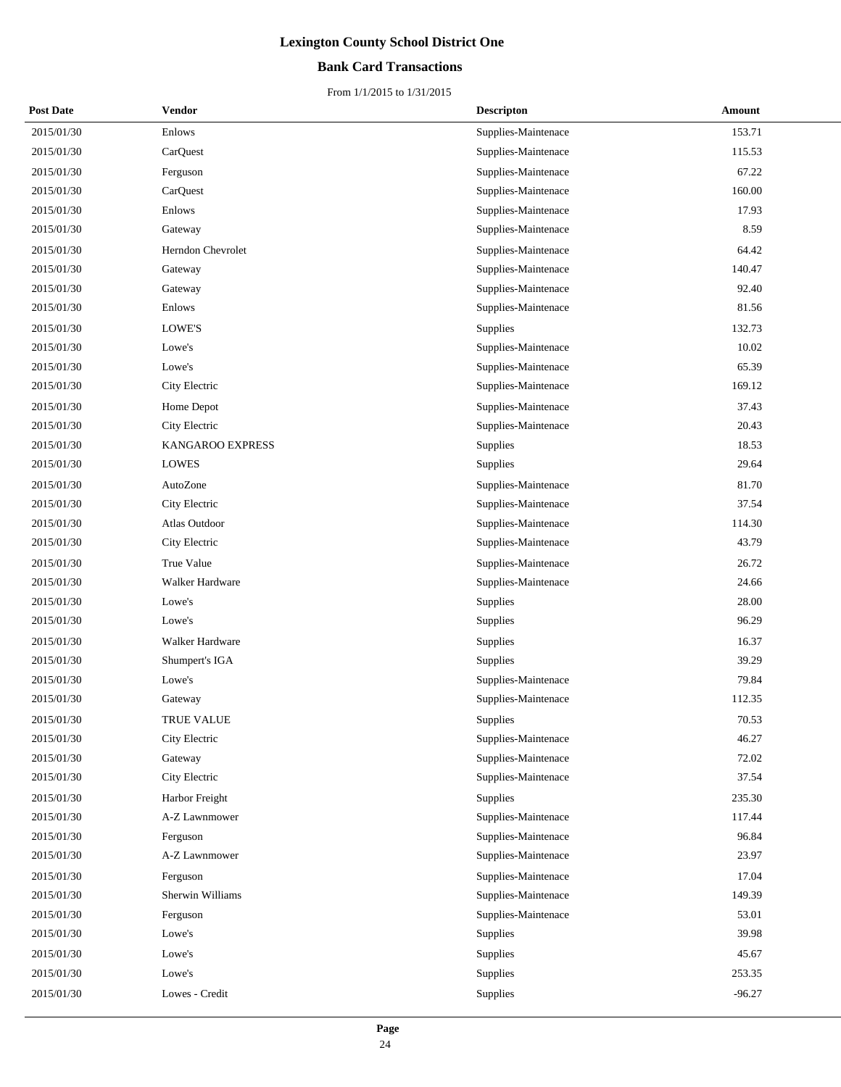## **Bank Card Transactions**

| <b>Post Date</b> | Vendor            | <b>Descripton</b>   | Amount   |
|------------------|-------------------|---------------------|----------|
| 2015/01/30       | Enlows            | Supplies-Maintenace | 153.71   |
| 2015/01/30       | CarQuest          | Supplies-Maintenace | 115.53   |
| 2015/01/30       | Ferguson          | Supplies-Maintenace | 67.22    |
| 2015/01/30       | CarQuest          | Supplies-Maintenace | 160.00   |
| 2015/01/30       | Enlows            | Supplies-Maintenace | 17.93    |
| 2015/01/30       | Gateway           | Supplies-Maintenace | 8.59     |
| 2015/01/30       | Herndon Chevrolet | Supplies-Maintenace | 64.42    |
| 2015/01/30       | Gateway           | Supplies-Maintenace | 140.47   |
| 2015/01/30       | Gateway           | Supplies-Maintenace | 92.40    |
| 2015/01/30       | Enlows            | Supplies-Maintenace | 81.56    |
| 2015/01/30       | LOWE'S            | Supplies            | 132.73   |
| 2015/01/30       | Lowe's            | Supplies-Maintenace | 10.02    |
| 2015/01/30       | Lowe's            | Supplies-Maintenace | 65.39    |
| 2015/01/30       | City Electric     | Supplies-Maintenace | 169.12   |
| 2015/01/30       | Home Depot        | Supplies-Maintenace | 37.43    |
| 2015/01/30       | City Electric     | Supplies-Maintenace | 20.43    |
| 2015/01/30       | KANGAROO EXPRESS  | Supplies            | 18.53    |
| 2015/01/30       | <b>LOWES</b>      | Supplies            | 29.64    |
| 2015/01/30       | AutoZone          | Supplies-Maintenace | 81.70    |
| 2015/01/30       | City Electric     | Supplies-Maintenace | 37.54    |
| 2015/01/30       | Atlas Outdoor     | Supplies-Maintenace | 114.30   |
| 2015/01/30       | City Electric     | Supplies-Maintenace | 43.79    |
| 2015/01/30       | True Value        | Supplies-Maintenace | 26.72    |
| 2015/01/30       | Walker Hardware   | Supplies-Maintenace | 24.66    |
| 2015/01/30       | Lowe's            | Supplies            | 28.00    |
| 2015/01/30       | Lowe's            | Supplies            | 96.29    |
| 2015/01/30       | Walker Hardware   | Supplies            | 16.37    |
| 2015/01/30       | Shumpert's IGA    | Supplies            | 39.29    |
| 2015/01/30       | Lowe's            | Supplies-Maintenace | 79.84    |
| 2015/01/30       | Gateway           | Supplies-Maintenace | 112.35   |
| 2015/01/30       | <b>TRUE VALUE</b> | Supplies            | 70.53    |
| 2015/01/30       | City Electric     | Supplies-Maintenace | 46.27    |
| 2015/01/30       | Gateway           | Supplies-Maintenace | 72.02    |
| 2015/01/30       | City Electric     | Supplies-Maintenace | 37.54    |
| 2015/01/30       | Harbor Freight    | Supplies            | 235.30   |
| 2015/01/30       | A-Z Lawnmower     | Supplies-Maintenace | 117.44   |
| 2015/01/30       | Ferguson          | Supplies-Maintenace | 96.84    |
| 2015/01/30       | A-Z Lawnmower     | Supplies-Maintenace | 23.97    |
| 2015/01/30       | Ferguson          | Supplies-Maintenace | 17.04    |
| 2015/01/30       | Sherwin Williams  | Supplies-Maintenace | 149.39   |
| 2015/01/30       | Ferguson          | Supplies-Maintenace | 53.01    |
| 2015/01/30       | Lowe's            | Supplies            | 39.98    |
| 2015/01/30       | Lowe's            | Supplies            | 45.67    |
| 2015/01/30       | Lowe's            | Supplies            | 253.35   |
| 2015/01/30       | Lowes - Credit    | Supplies            | $-96.27$ |
|                  |                   |                     |          |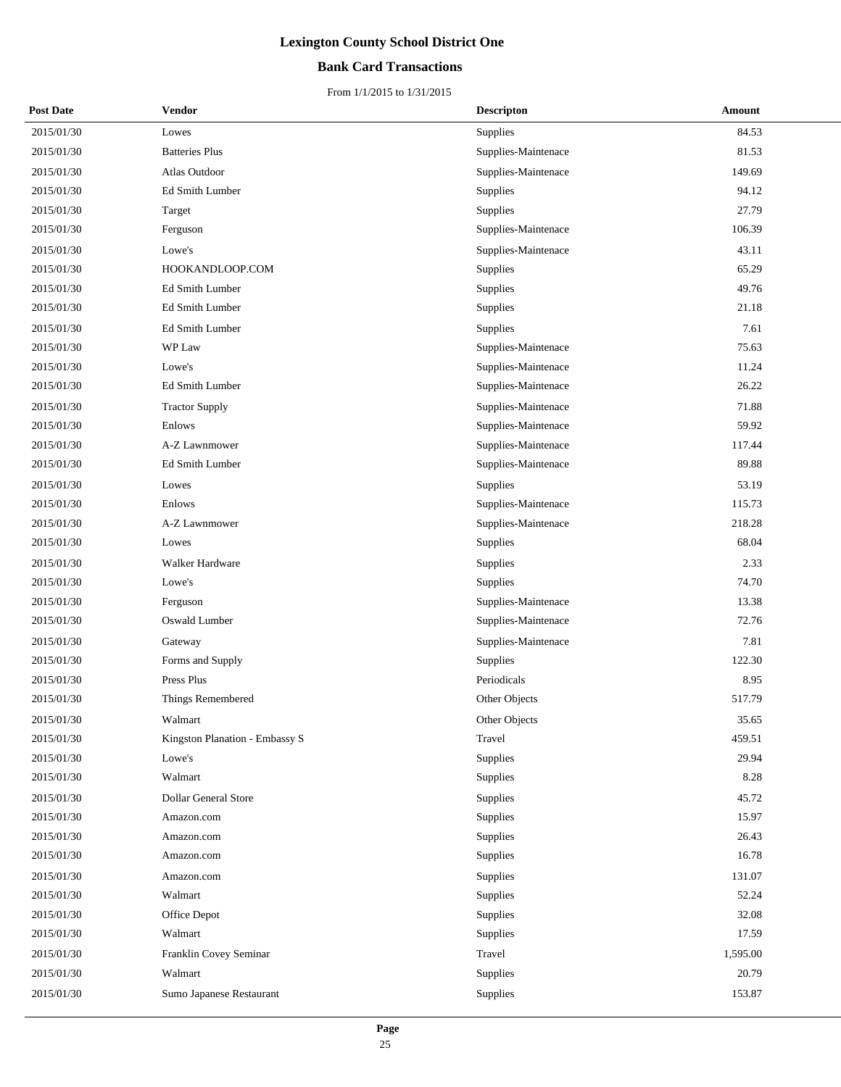## **Bank Card Transactions**

| <b>Post Date</b> | Vendor                         | <b>Descripton</b>   | Amount   |
|------------------|--------------------------------|---------------------|----------|
| 2015/01/30       | Lowes                          | Supplies            | 84.53    |
| 2015/01/30       | <b>Batteries Plus</b>          | Supplies-Maintenace | 81.53    |
| 2015/01/30       | Atlas Outdoor                  | Supplies-Maintenace | 149.69   |
| 2015/01/30       | Ed Smith Lumber                | Supplies            | 94.12    |
| 2015/01/30       | Target                         | Supplies            | 27.79    |
| 2015/01/30       | Ferguson                       | Supplies-Maintenace | 106.39   |
| 2015/01/30       | Lowe's                         | Supplies-Maintenace | 43.11    |
| 2015/01/30       | HOOKANDLOOP.COM                | Supplies            | 65.29    |
| 2015/01/30       | Ed Smith Lumber                | Supplies            | 49.76    |
| 2015/01/30       | Ed Smith Lumber                | Supplies            | 21.18    |
| 2015/01/30       | Ed Smith Lumber                | Supplies            | 7.61     |
| 2015/01/30       | WP Law                         | Supplies-Maintenace | 75.63    |
| 2015/01/30       | Lowe's                         | Supplies-Maintenace | 11.24    |
| 2015/01/30       | Ed Smith Lumber                | Supplies-Maintenace | 26.22    |
| 2015/01/30       | <b>Tractor Supply</b>          | Supplies-Maintenace | 71.88    |
| 2015/01/30       | Enlows                         | Supplies-Maintenace | 59.92    |
| 2015/01/30       | A-Z Lawnmower                  | Supplies-Maintenace | 117.44   |
| 2015/01/30       | Ed Smith Lumber                | Supplies-Maintenace | 89.88    |
| 2015/01/30       | Lowes                          | Supplies            | 53.19    |
| 2015/01/30       | Enlows                         | Supplies-Maintenace | 115.73   |
| 2015/01/30       | A-Z Lawnmower                  | Supplies-Maintenace | 218.28   |
| 2015/01/30       | Lowes                          | Supplies            | 68.04    |
| 2015/01/30       | Walker Hardware                | Supplies            | 2.33     |
| 2015/01/30       | Lowe's                         | Supplies            | 74.70    |
| 2015/01/30       | Ferguson                       | Supplies-Maintenace | 13.38    |
| 2015/01/30       | Oswald Lumber                  | Supplies-Maintenace | 72.76    |
| 2015/01/30       | Gateway                        | Supplies-Maintenace | 7.81     |
| 2015/01/30       | Forms and Supply               | Supplies            | 122.30   |
| 2015/01/30       | Press Plus                     | Periodicals         | 8.95     |
| 2015/01/30       | Things Remembered              | Other Objects       | 517.79   |
| 2015/01/30       | Walmart                        | Other Objects       | 35.65    |
| 2015/01/30       | Kingston Planation - Embassy S | Travel              | 459.51   |
| 2015/01/30       | Lowe's                         | Supplies            | 29.94    |
| 2015/01/30       | Walmart                        | Supplies            | 8.28     |
| 2015/01/30       | Dollar General Store           | Supplies            | 45.72    |
| 2015/01/30       | Amazon.com                     | Supplies            | 15.97    |
| 2015/01/30       | Amazon.com                     | Supplies            | 26.43    |
| 2015/01/30       | Amazon.com                     | Supplies            | 16.78    |
| 2015/01/30       | Amazon.com                     | Supplies            | 131.07   |
| 2015/01/30       | Walmart                        | Supplies            | 52.24    |
| 2015/01/30       | Office Depot                   | Supplies            | 32.08    |
| 2015/01/30       | Walmart                        | Supplies            | 17.59    |
| 2015/01/30       | Franklin Covey Seminar         | Travel              | 1,595.00 |
| 2015/01/30       | Walmart                        | Supplies            | 20.79    |
| 2015/01/30       | Sumo Japanese Restaurant       | Supplies            | 153.87   |
|                  |                                |                     |          |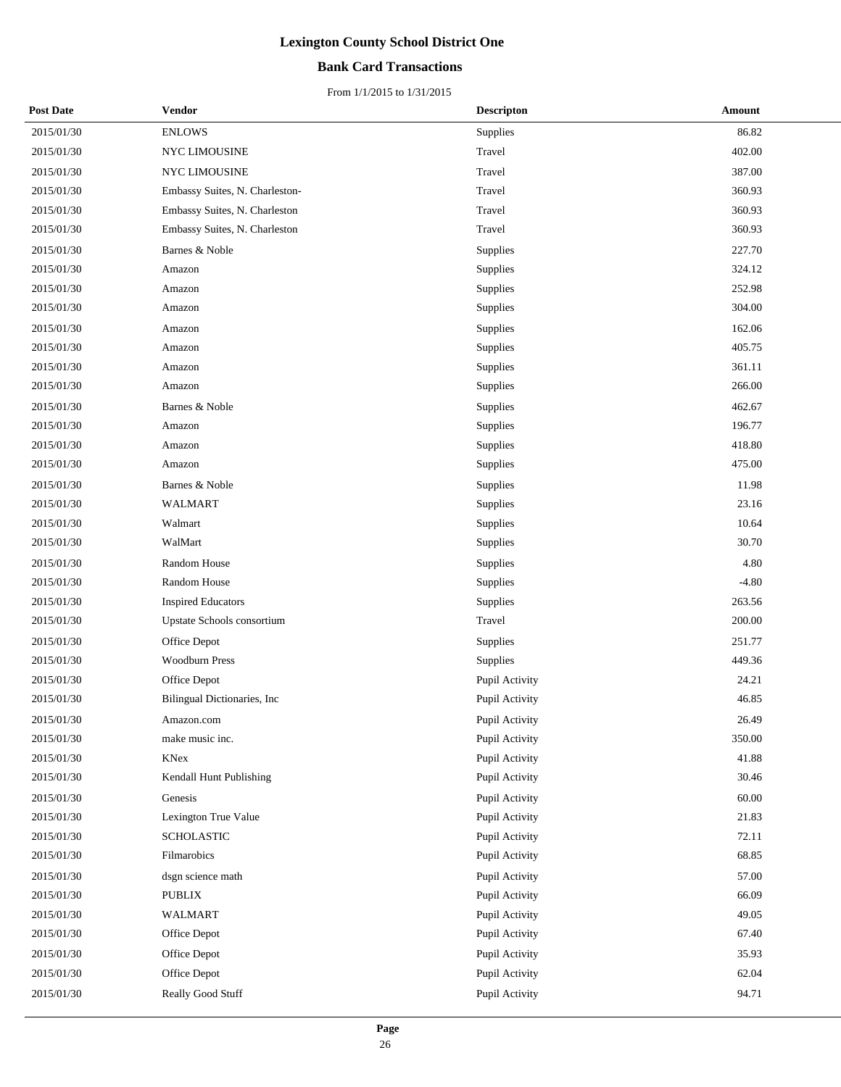## **Bank Card Transactions**

| <b>Post Date</b> | Vendor                         | <b>Descripton</b> | Amount  |
|------------------|--------------------------------|-------------------|---------|
| 2015/01/30       | <b>ENLOWS</b>                  | Supplies          | 86.82   |
| 2015/01/30       | NYC LIMOUSINE                  | Travel            | 402.00  |
| 2015/01/30       | <b>NYC LIMOUSINE</b>           | Travel            | 387.00  |
| 2015/01/30       | Embassy Suites, N. Charleston- | Travel            | 360.93  |
| 2015/01/30       | Embassy Suites, N. Charleston  | Travel            | 360.93  |
| 2015/01/30       | Embassy Suites, N. Charleston  | Travel            | 360.93  |
| 2015/01/30       | Barnes & Noble                 | Supplies          | 227.70  |
| 2015/01/30       | Amazon                         | Supplies          | 324.12  |
| 2015/01/30       | Amazon                         | Supplies          | 252.98  |
| 2015/01/30       | Amazon                         | Supplies          | 304.00  |
| 2015/01/30       | Amazon                         | Supplies          | 162.06  |
| 2015/01/30       | Amazon                         | Supplies          | 405.75  |
| 2015/01/30       | Amazon                         | Supplies          | 361.11  |
| 2015/01/30       | Amazon                         | Supplies          | 266.00  |
| 2015/01/30       | Barnes & Noble                 | Supplies          | 462.67  |
| 2015/01/30       | Amazon                         | Supplies          | 196.77  |
| 2015/01/30       | Amazon                         | <b>Supplies</b>   | 418.80  |
| 2015/01/30       | Amazon                         | Supplies          | 475.00  |
| 2015/01/30       | Barnes & Noble                 | Supplies          | 11.98   |
| 2015/01/30       | <b>WALMART</b>                 | Supplies          | 23.16   |
| 2015/01/30       | Walmart                        | Supplies          | 10.64   |
| 2015/01/30       | WalMart                        | Supplies          | 30.70   |
| 2015/01/30       | Random House                   | Supplies          | 4.80    |
| 2015/01/30       | Random House                   | Supplies          | $-4.80$ |
| 2015/01/30       | <b>Inspired Educators</b>      | Supplies          | 263.56  |
| 2015/01/30       | Upstate Schools consortium     | Travel            | 200.00  |
| 2015/01/30       | Office Depot                   | Supplies          | 251.77  |
| 2015/01/30       | <b>Woodburn Press</b>          | Supplies          | 449.36  |
| 2015/01/30       | Office Depot                   | Pupil Activity    | 24.21   |
| 2015/01/30       | Bilingual Dictionaries, Inc.   | Pupil Activity    | 46.85   |
| 2015/01/30       | Amazon.com                     | Pupil Activity    | 26.49   |
| 2015/01/30       | make music inc.                | Pupil Activity    | 350.00  |
| 2015/01/30       | KNex                           | Pupil Activity    | 41.88   |
| 2015/01/30       | Kendall Hunt Publishing        | Pupil Activity    | 30.46   |
| 2015/01/30       | Genesis                        | Pupil Activity    | 60.00   |
| 2015/01/30       | Lexington True Value           | Pupil Activity    | 21.83   |
| 2015/01/30       | <b>SCHOLASTIC</b>              | Pupil Activity    | 72.11   |
| 2015/01/30       | Filmarobics                    | Pupil Activity    | 68.85   |
| 2015/01/30       | dsgn science math              | Pupil Activity    | 57.00   |
| 2015/01/30       | <b>PUBLIX</b>                  | Pupil Activity    | 66.09   |
| 2015/01/30       | WALMART                        | Pupil Activity    | 49.05   |
| 2015/01/30       | Office Depot                   | Pupil Activity    | 67.40   |
| 2015/01/30       | Office Depot                   | Pupil Activity    | 35.93   |
| 2015/01/30       | Office Depot                   | Pupil Activity    | 62.04   |
| 2015/01/30       | Really Good Stuff              | Pupil Activity    | 94.71   |
|                  |                                |                   |         |